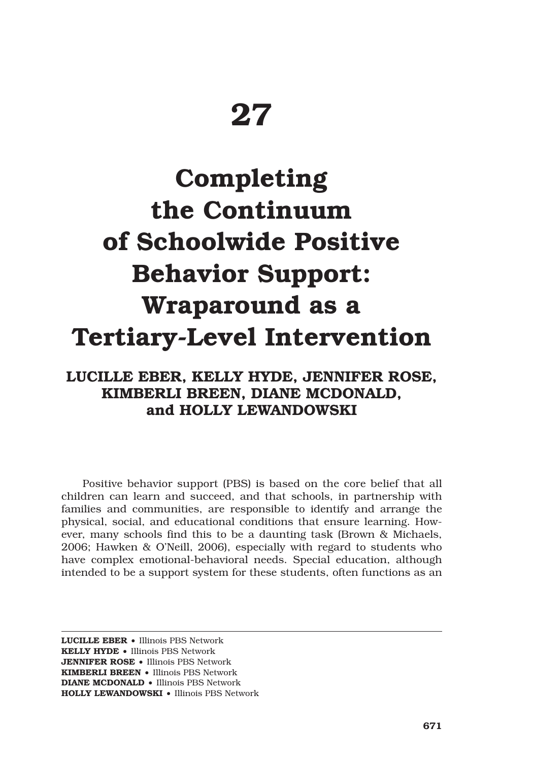# **27**

## **Completing the Continuum of Schoolwide Positive Behavior Support: Wraparound as a Tertiary-Level Intervention**

## **LUCILLE EBER, KELLY HYDE, JENNIFER ROSE, KIMBERLI BREEN, DIANE MCDONALD, and HOLLY LEWANDOWSKI**

Positive behavior support (PBS) is based on the core belief that all children can learn and succeed, and that schools, in partnership with families and communities, are responsible to identify and arrange the physical, social, and educational conditions that ensure learning. However, many schools find this to be a daunting task (Brown & Michaels, 2006; Hawken & O'Neill, 2006), especially with regard to students who have complex emotional-behavioral needs. Special education, although intended to be a support system for these students, often functions as an

**LUCILLE EBER** ● Illinois PBS Network **KELLY HYDE** ● Illinois PBS Network **JENNIFER ROSE** ● Illinois PBS Network **KIMBERLI BREEN** ● Illinois PBS Network **DIANE MCDONALD** ● Illinois PBS Network **HOLLY LEWANDOWSKI** ● Illinois PBS Network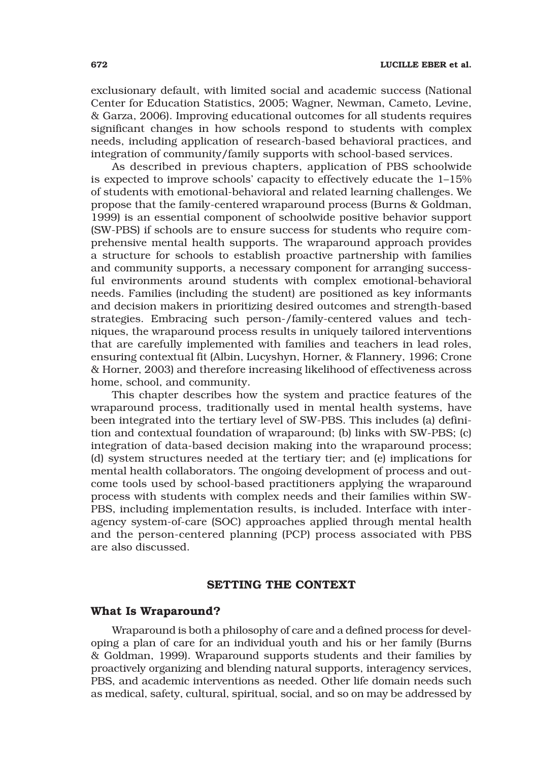exclusionary default, with limited social and academic success (National Center for Education Statistics, 2005; Wagner, Newman, Cameto, Levine, & Garza, 2006). Improving educational outcomes for all students requires significant changes in how schools respond to students with complex needs, including application of research-based behavioral practices, and integration of community/family supports with school-based services.

As described in previous chapters, application of PBS schoolwide is expected to improve schools' capacity to effectively educate the 1–15% of students with emotional-behavioral and related learning challenges. We propose that the family-centered wraparound process (Burns & Goldman, 1999) is an essential component of schoolwide positive behavior support (SW-PBS) if schools are to ensure success for students who require comprehensive mental health supports. The wraparound approach provides a structure for schools to establish proactive partnership with families and community supports, a necessary component for arranging successful environments around students with complex emotional-behavioral needs. Families (including the student) are positioned as key informants and decision makers in prioritizing desired outcomes and strength-based strategies. Embracing such person-/family-centered values and techniques, the wraparound process results in uniquely tailored interventions that are carefully implemented with families and teachers in lead roles, ensuring contextual fit (Albin, Lucyshyn, Horner, & Flannery, 1996; Crone & Horner, 2003) and therefore increasing likelihood of effectiveness across home, school, and community.

This chapter describes how the system and practice features of the wraparound process, traditionally used in mental health systems, have been integrated into the tertiary level of SW-PBS. This includes (a) definition and contextual foundation of wraparound; (b) links with SW-PBS; (c) integration of data-based decision making into the wraparound process; (d) system structures needed at the tertiary tier; and (e) implications for mental health collaborators. The ongoing development of process and outcome tools used by school-based practitioners applying the wraparound process with students with complex needs and their families within SW-PBS, including implementation results, is included. Interface with interagency system-of-care (SOC) approaches applied through mental health and the person-centered planning (PCP) process associated with PBS are also discussed.

## **SETTING THE CONTEXT**

#### **What Is Wraparound?**

Wraparound is both a philosophy of care and a defined process for developing a plan of care for an individual youth and his or her family (Burns & Goldman, 1999). Wraparound supports students and their families by proactively organizing and blending natural supports, interagency services, PBS, and academic interventions as needed. Other life domain needs such as medical, safety, cultural, spiritual, social, and so on may be addressed by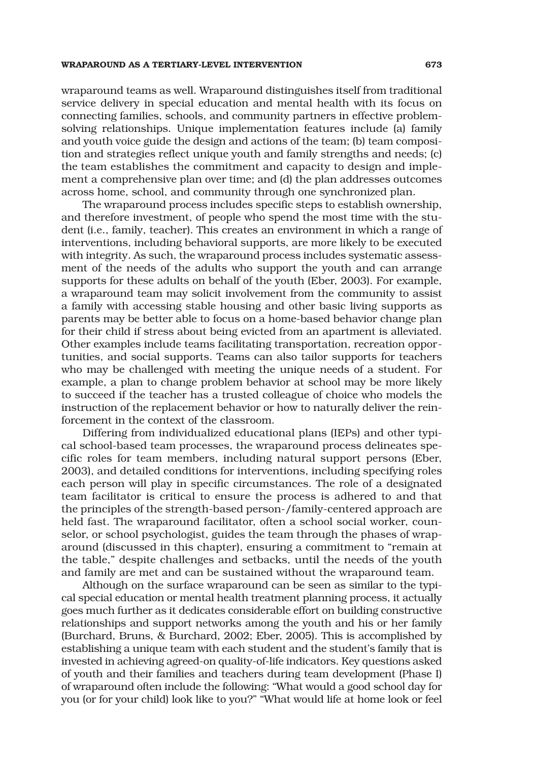wraparound teams as well. Wraparound distinguishes itself from traditional service delivery in special education and mental health with its focus on connecting families, schools, and community partners in effective problemsolving relationships. Unique implementation features include (a) family and youth voice guide the design and actions of the team; (b) team composition and strategies reflect unique youth and family strengths and needs; (c) the team establishes the commitment and capacity to design and implement a comprehensive plan over time; and (d) the plan addresses outcomes across home, school, and community through one synchronized plan.

The wraparound process includes specific steps to establish ownership, and therefore investment, of people who spend the most time with the student (i.e., family, teacher). This creates an environment in which a range of interventions, including behavioral supports, are more likely to be executed with integrity. As such, the wraparound process includes systematic assessment of the needs of the adults who support the youth and can arrange supports for these adults on behalf of the youth (Eber, 2003). For example, a wraparound team may solicit involvement from the community to assist a family with accessing stable housing and other basic living supports as parents may be better able to focus on a home-based behavior change plan for their child if stress about being evicted from an apartment is alleviated. Other examples include teams facilitating transportation, recreation opportunities, and social supports. Teams can also tailor supports for teachers who may be challenged with meeting the unique needs of a student. For example, a plan to change problem behavior at school may be more likely to succeed if the teacher has a trusted colleague of choice who models the instruction of the replacement behavior or how to naturally deliver the reinforcement in the context of the classroom.

Differing from individualized educational plans (IEPs) and other typical school-based team processes, the wraparound process delineates specific roles for team members, including natural support persons (Eber, 2003), and detailed conditions for interventions, including specifying roles each person will play in specific circumstances. The role of a designated team facilitator is critical to ensure the process is adhered to and that the principles of the strength-based person-/family-centered approach are held fast. The wraparound facilitator, often a school social worker, counselor, or school psychologist, guides the team through the phases of wraparound (discussed in this chapter), ensuring a commitment to "remain at the table," despite challenges and setbacks, until the needs of the youth and family are met and can be sustained without the wraparound team.

Although on the surface wraparound can be seen as similar to the typical special education or mental health treatment planning process, it actually goes much further as it dedicates considerable effort on building constructive relationships and support networks among the youth and his or her family (Burchard, Bruns, & Burchard, 2002; Eber, 2005). This is accomplished by establishing a unique team with each student and the student's family that is invested in achieving agreed-on quality-of-life indicators. Key questions asked of youth and their families and teachers during team development (Phase I) of wraparound often include the following: "What would a good school day for you (or for your child) look like to you?" "What would life at home look or feel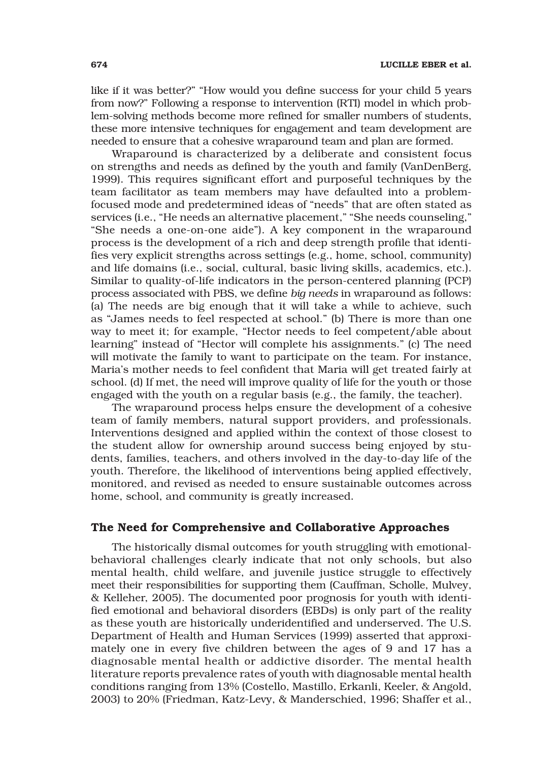like if it was better?" "How would you define success for your child 5 years from now?" Following a response to intervention (RTI) model in which problem-solving methods become more refined for smaller numbers of students, these more intensive techniques for engagement and team development are needed to ensure that a cohesive wraparound team and plan are formed.

Wraparound is characterized by a deliberate and consistent focus on strengths and needs as defined by the youth and family (VanDenBerg, 1999). This requires significant effort and purposeful techniques by the team facilitator as team members may have defaulted into a problemfocused mode and predetermined ideas of "needs" that are often stated as services (i.e., "He needs an alternative placement," "She needs counseling," "She needs a one-on-one aide"). A key component in the wraparound process is the development of a rich and deep strength profile that identifies very explicit strengths across settings (e.g., home, school, community) and life domains (i.e., social, cultural, basic living skills, academics, etc.). Similar to quality-of-life indicators in the person-centered planning (PCP) process associated with PBS, we define *big needs* in wraparound as follows: (a) The needs are big enough that it will take a while to achieve, such as "James needs to feel respected at school." (b) There is more than one way to meet it; for example, "Hector needs to feel competent/able about learning" instead of "Hector will complete his assignments." (c) The need will motivate the family to want to participate on the team. For instance, Maria's mother needs to feel confident that Maria will get treated fairly at school. (d) If met, the need will improve quality of life for the youth or those engaged with the youth on a regular basis (e.g., the family, the teacher).

The wraparound process helps ensure the development of a cohesive team of family members, natural support providers, and professionals. Interventions designed and applied within the context of those closest to the student allow for ownership around success being enjoyed by students, families, teachers, and others involved in the day-to-day life of the youth. Therefore, the likelihood of interventions being applied effectively, monitored, and revised as needed to ensure sustainable outcomes across home, school, and community is greatly increased.

#### **The Need for Comprehensive and Collaborative Approaches**

The historically dismal outcomes for youth struggling with emotionalbehavioral challenges clearly indicate that not only schools, but also mental health, child welfare, and juvenile justice struggle to effectively meet their responsibilities for supporting them (Cauffman, Scholle, Mulvey, & Kelleher, 2005). The documented poor prognosis for youth with identified emotional and behavioral disorders (EBDs) is only part of the reality as these youth are historically underidentified and underserved. The U.S. Department of Health and Human Services (1999) asserted that approximately one in every five children between the ages of 9 and 17 has a diagnosable mental health or addictive disorder. The mental health literature reports prevalence rates of youth with diagnosable mental health conditions ranging from 13% (Costello, Mastillo, Erkanli, Keeler, & Angold, 2003) to 20% (Friedman, Katz-Levy, & Manderschied, 1996; Shaffer et al.,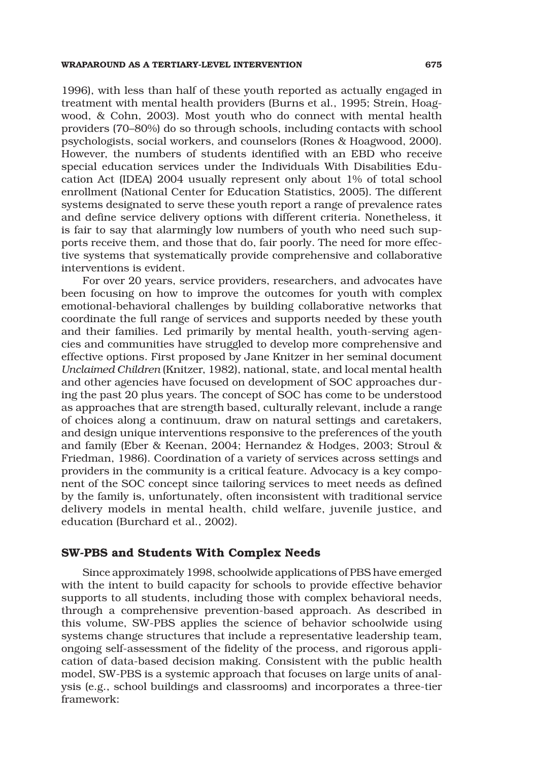1996), with less than half of these youth reported as actually engaged in treatment with mental health providers (Burns et al., 1995; Strein, Hoagwood, & Cohn, 2003). Most youth who do connect with mental health providers (70–80%) do so through schools, including contacts with school psychologists, social workers, and counselors (Rones & Hoagwood, 2000). However, the numbers of students identified with an EBD who receive special education services under the Individuals With Disabilities Education Act (IDEA) 2004 usually represent only about 1% of total school enrollment (National Center for Education Statistics, 2005). The different systems designated to serve these youth report a range of prevalence rates and define service delivery options with different criteria. Nonetheless, it is fair to say that alarmingly low numbers of youth who need such supports receive them, and those that do, fair poorly. The need for more effective systems that systematically provide comprehensive and collaborative interventions is evident.

For over 20 years, service providers, researchers, and advocates have been focusing on how to improve the outcomes for youth with complex emotional-behavioral challenges by building collaborative networks that coordinate the full range of services and supports needed by these youth and their families. Led primarily by mental health, youth-serving agencies and communities have struggled to develop more comprehensive and effective options. First proposed by Jane Knitzer in her seminal document *Unclaimed Children* (Knitzer, 1982), national, state, and local mental health and other agencies have focused on development of SOC approaches during the past 20 plus years. The concept of SOC has come to be understood as approaches that are strength based, culturally relevant, include a range of choices along a continuum, draw on natural settings and caretakers, and design unique interventions responsive to the preferences of the youth and family (Eber & Keenan, 2004; Hernandez & Hodges, 2003; Stroul & Friedman, 1986). Coordination of a variety of services across settings and providers in the community is a critical feature. Advocacy is a key component of the SOC concept since tailoring services to meet needs as defined by the family is, unfortunately, often inconsistent with traditional service delivery models in mental health, child welfare, juvenile justice, and education (Burchard et al., 2002).

## **SW-PBS and Students With Complex Needs**

Since approximately 1998, schoolwide applications of PBS have emerged with the intent to build capacity for schools to provide effective behavior supports to all students, including those with complex behavioral needs, through a comprehensive prevention-based approach. As described in this volume, SW-PBS applies the science of behavior schoolwide using systems change structures that include a representative leadership team, ongoing self-assessment of the fidelity of the process, and rigorous application of data-based decision making. Consistent with the public health model, SW-PBS is a systemic approach that focuses on large units of analysis (e.g., school buildings and classrooms) and incorporates a three-tier framework: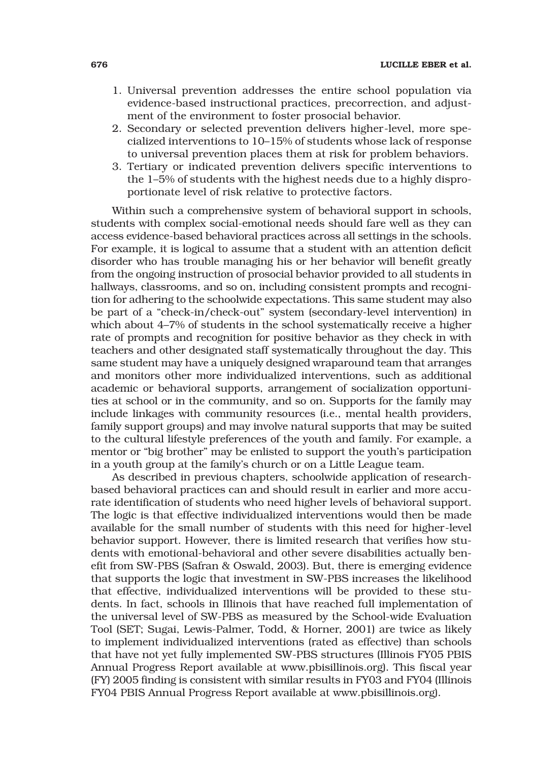- 1. Universal prevention addresses the entire school population via evidence-based instructional practices, precorrection, and adjustment of the environment to foster prosocial behavior.
- 2. Secondary or selected prevention delivers higher-level, more specialized interventions to 10–15% of students whose lack of response to universal prevention places them at risk for problem behaviors.
- 3. Tertiary or indicated prevention delivers specific interventions to the 1–5% of students with the highest needs due to a highly disproportionate level of risk relative to protective factors.

Within such a comprehensive system of behavioral support in schools, students with complex social-emotional needs should fare well as they can access evidence-based behavioral practices across all settings in the schools. For example, it is logical to assume that a student with an attention deficit disorder who has trouble managing his or her behavior will benefit greatly from the ongoing instruction of prosocial behavior provided to all students in hallways, classrooms, and so on, including consistent prompts and recognition for adhering to the schoolwide expectations. This same student may also be part of a "check-in/check-out" system (secondary-level intervention) in which about 4–7% of students in the school systematically receive a higher rate of prompts and recognition for positive behavior as they check in with teachers and other designated staff systematically throughout the day. This same student may have a uniquely designed wraparound team that arranges and monitors other more individualized interventions, such as additional academic or behavioral supports, arrangement of socialization opportunities at school or in the community, and so on. Supports for the family may include linkages with community resources (i.e., mental health providers, family support groups) and may involve natural supports that may be suited to the cultural lifestyle preferences of the youth and family. For example, a mentor or "big brother" may be enlisted to support the youth's participation in a youth group at the family's church or on a Little League team.

As described in previous chapters, schoolwide application of researchbased behavioral practices can and should result in earlier and more accurate identification of students who need higher levels of behavioral support. The logic is that effective individualized interventions would then be made available for the small number of students with this need for higher-level behavior support. However, there is limited research that verifies how students with emotional-behavioral and other severe disabilities actually benefit from SW-PBS (Safran & Oswald, 2003). But, there is emerging evidence that supports the logic that investment in SW-PBS increases the likelihood that effective, individualized interventions will be provided to these students. In fact, schools in Illinois that have reached full implementation of the universal level of SW-PBS as measured by the School-wide Evaluation Tool (SET; Sugai, Lewis-Palmer, Todd, & Horner, 2001) are twice as likely to implement individualized interventions (rated as effective) than schools that have not yet fully implemented SW-PBS structures (Illinois FY05 PBIS Annual Progress Report available at www.pbisillinois.org). This fiscal year (FY) 2005 finding is consistent with similar results in FY03 and FY04 (Illinois FY04 PBIS Annual Progress Report available at www.pbisillinois.org).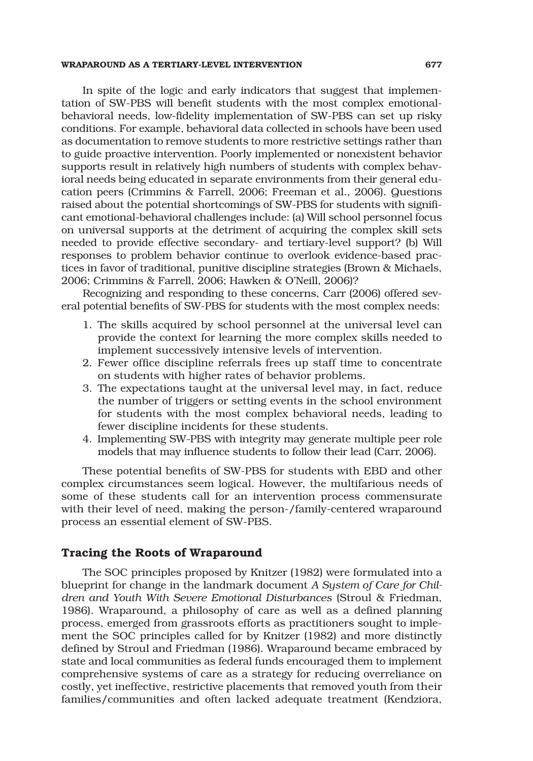In spite of the logic and early indicators that suggest that implementation of SW-PBS will benefit students with the most complex emotionalbehavioral needs, low-fidelity implementation of SW-PBS can set up risky conditions. For example, behavioral data collected in schools have been used as documentation to remove students to more restrictive settings rather than to guide proactive intervention. Poorly implemented or nonexistent behavior supports result in relatively high numbers of students with complex behavioral needs being educated in separate environments from their general education peers (Crimmins & Farrell, 2006; Freeman et al., 2006). Questions raised about the potential shortcomings of SW-PBS for students with significant emotional-behavioral challenges include: (a) Will school personnel focus on universal supports at the detriment of acquiring the complex skill sets needed to provide effective secondary- and tertiary-level support? (b) Will responses to problem behavior continue to overlook evidence-based practices in favor of traditional, punitive discipline strategies (Brown & Michaels, 2006; Crimmins & Farrell, 2006; Hawken & O'Neill, 2006)?

Recognizing and responding to these concerns, Carr (2006) offered several potential benefits of SW-PBS for students with the most complex needs:

- 1. The skills acquired by school personnel at the universal level can provide the context for learning the more complex skills needed to implement successively intensive levels of intervention.
- 2. Fewer office discipline referrals frees up staff time to concentrate on students with higher rates of behavior problems.
- 3. The expectations taught at the universal level may, in fact, reduce the number of triggers or setting events in the school environment for students with the most complex behavioral needs, leading to fewer discipline incidents for these students.
- 4. Implementing SW-PBS with integrity may generate multiple peer role models that may influence students to follow their lead (Carr, 2006).

These potential benefits of SW-PBS for students with EBD and other complex circumstances seem logical. However, the multifarious needs of some of these students call for an intervention process commensurate with their level of need, making the person-/family-centered wraparound process an essential element of SW-PBS.

## **Tracing the Roots of Wraparound**

The SOC principles proposed by Knitzer (1982) were formulated into a blueprint for change in the landmark document *A System of Care for Children and Youth With Severe Emotional Disturbances* (Stroul & Friedman, 1986). Wraparound, a philosophy of care as well as a defined planning process, emerged from grassroots efforts as practitioners sought to implement the SOC principles called for by Knitzer (1982) and more distinctly defined by Stroul and Friedman (1986). Wraparound became embraced by state and local communities as federal funds encouraged them to implement comprehensive systems of care as a strategy for reducing overreliance on costly, yet ineffective, restrictive placements that removed youth from their families/communities and often lacked adequate treatment (Kendziora,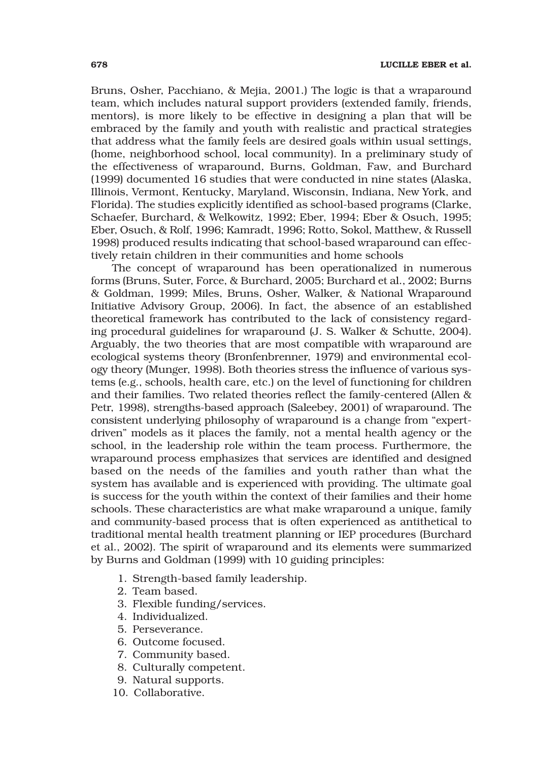Bruns, Osher, Pacchiano, & Mejia, 2001.) The logic is that a wraparound team, which includes natural support providers (extended family, friends, mentors), is more likely to be effective in designing a plan that will be embraced by the family and youth with realistic and practical strategies that address what the family feels are desired goals within usual settings, (home, neighborhood school, local community). In a preliminary study of the effectiveness of wraparound, Burns, Goldman, Faw, and Burchard (1999) documented 16 studies that were conducted in nine states (Alaska, Illinois, Vermont, Kentucky, Maryland, Wisconsin, Indiana, New York, and Florida). The studies explicitly identified as school-based programs (Clarke, Schaefer, Burchard, & Welkowitz, 1992; Eber, 1994; Eber & Osuch, 1995; Eber, Osuch, & Rolf, 1996; Kamradt, 1996; Rotto, Sokol, Matthew, & Russell 1998) produced results indicating that school-based wraparound can effectively retain children in their communities and home schools

The concept of wraparound has been operationalized in numerous forms (Bruns, Suter, Force, & Burchard, 2005; Burchard et al., 2002; Burns & Goldman, 1999; Miles, Bruns, Osher, Walker, & National Wraparound Initiative Advisory Group, 2006). In fact, the absence of an established theoretical framework has contributed to the lack of consistency regarding procedural guidelines for wraparound (J. S. Walker & Schutte, 2004). Arguably, the two theories that are most compatible with wraparound are ecological systems theory (Bronfenbrenner, 1979) and environmental ecology theory (Munger, 1998). Both theories stress the influence of various systems (e.g., schools, health care, etc.) on the level of functioning for children and their families. Two related theories reflect the family-centered (Allen & Petr, 1998), strengths-based approach (Saleebey, 2001) of wraparound. The consistent underlying philosophy of wraparound is a change from "expertdriven" models as it places the family, not a mental health agency or the school, in the leadership role within the team process. Furthermore, the wraparound process emphasizes that services are identified and designed based on the needs of the families and youth rather than what the system has available and is experienced with providing. The ultimate goal is success for the youth within the context of their families and their home schools. These characteristics are what make wraparound a unique, family and community-based process that is often experienced as antithetical to traditional mental health treatment planning or IEP procedures (Burchard et al., 2002). The spirit of wraparound and its elements were summarized by Burns and Goldman (1999) with 10 guiding principles:

- 1. Strength-based family leadership.
- 2. Team based.
- 3. Flexible funding/services.
- 4. Individualized.
- 5. Perseverance.
- 6. Outcome focused.
- 7. Community based.
- 8. Culturally competent.
- 9. Natural supports.
- 10. Collaborative.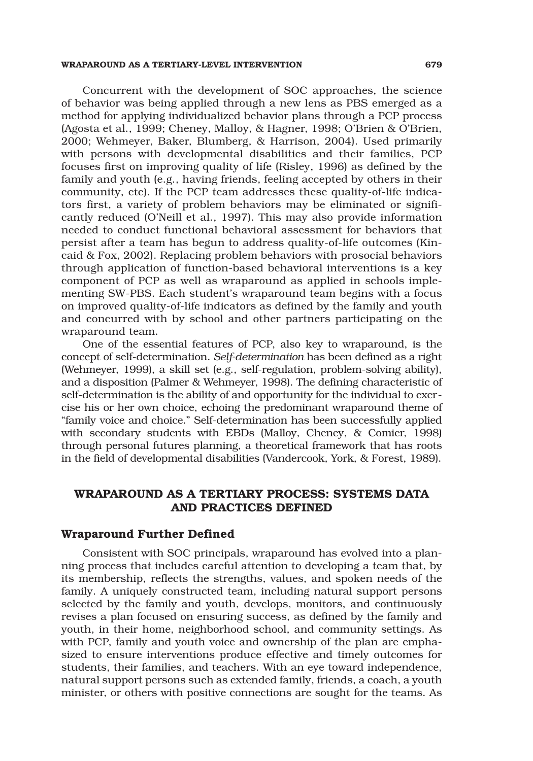Concurrent with the development of SOC approaches, the science of behavior was being applied through a new lens as PBS emerged as a method for applying individualized behavior plans through a PCP process (Agosta et al., 1999; Cheney, Malloy, & Hagner, 1998; O'Brien & O'Brien, 2000; Wehmeyer, Baker, Blumberg, & Harrison, 2004). Used primarily with persons with developmental disabilities and their families, PCP focuses first on improving quality of life (Risley, 1996) as defined by the family and youth (e.g., having friends, feeling accepted by others in their community, etc). If the PCP team addresses these quality-of-life indicators first, a variety of problem behaviors may be eliminated or significantly reduced (O'Neill et al., 1997). This may also provide information needed to conduct functional behavioral assessment for behaviors that persist after a team has begun to address quality-of-life outcomes (Kincaid & Fox, 2002). Replacing problem behaviors with prosocial behaviors through application of function-based behavioral interventions is a key component of PCP as well as wraparound as applied in schools implementing SW-PBS. Each student's wraparound team begins with a focus on improved quality-of-life indicators as defined by the family and youth and concurred with by school and other partners participating on the wraparound team.

One of the essential features of PCP, also key to wraparound, is the concept of self-determination. *Self-determination* has been defined as a right (Wehmeyer, 1999), a skill set (e.g., self-regulation, problem-solving ability), and a disposition (Palmer & Wehmeyer, 1998). The defining characteristic of self-determination is the ability of and opportunity for the individual to exercise his or her own choice, echoing the predominant wraparound theme of "family voice and choice." Self-determination has been successfully applied with secondary students with EBDs (Malloy, Cheney, & Comier, 1998) through personal futures planning, a theoretical framework that has roots in the field of developmental disabilities (Vandercook, York, & Forest, 1989).

## **WRAPAROUND AS A TERTIARY PROCESS: SYSTEMS DATA AND PRACTICES DEFINED**

#### **Wraparound Further Defined**

Consistent with SOC principals, wraparound has evolved into a planning process that includes careful attention to developing a team that, by its membership, reflects the strengths, values, and spoken needs of the family. A uniquely constructed team, including natural support persons selected by the family and youth, develops, monitors, and continuously revises a plan focused on ensuring success, as defined by the family and youth, in their home, neighborhood school, and community settings. As with PCP, family and youth voice and ownership of the plan are emphasized to ensure interventions produce effective and timely outcomes for students, their families, and teachers. With an eye toward independence, natural support persons such as extended family, friends, a coach, a youth minister, or others with positive connections are sought for the teams. As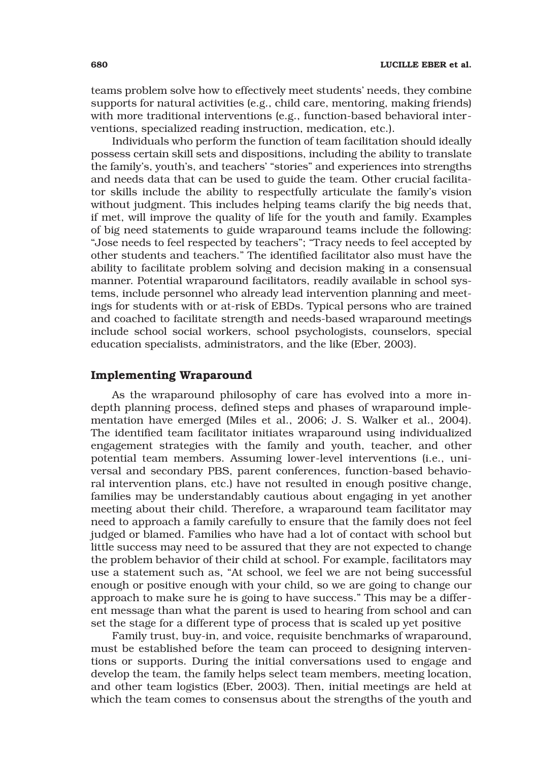teams problem solve how to effectively meet students' needs, they combine supports for natural activities (e.g., child care, mentoring, making friends) with more traditional interventions (e.g., function-based behavioral interventions, specialized reading instruction, medication, etc.).

Individuals who perform the function of team facilitation should ideally possess certain skill sets and dispositions, including the ability to translate the family's, youth's, and teachers' "stories" and experiences into strengths and needs data that can be used to guide the team. Other crucial facilitator skills include the ability to respectfully articulate the family's vision without judgment. This includes helping teams clarify the big needs that, if met, will improve the quality of life for the youth and family. Examples of big need statements to guide wraparound teams include the following: "Jose needs to feel respected by teachers"; "Tracy needs to feel accepted by other students and teachers." The identified facilitator also must have the ability to facilitate problem solving and decision making in a consensual manner. Potential wraparound facilitators, readily available in school systems, include personnel who already lead intervention planning and meetings for students with or at-risk of EBDs. Typical persons who are trained and coached to facilitate strength and needs-based wraparound meetings include school social workers, school psychologists, counselors, special education specialists, administrators, and the like (Eber, 2003).

## **Implementing Wraparound**

As the wraparound philosophy of care has evolved into a more indepth planning process, defined steps and phases of wraparound implementation have emerged (Miles et al., 2006; J. S. Walker et al., 2004). The identified team facilitator initiates wraparound using individualized engagement strategies with the family and youth, teacher, and other potential team members. Assuming lower-level interventions (i.e., universal and secondary PBS, parent conferences, function-based behavioral intervention plans, etc.) have not resulted in enough positive change, families may be understandably cautious about engaging in yet another meeting about their child. Therefore, a wraparound team facilitator may need to approach a family carefully to ensure that the family does not feel judged or blamed. Families who have had a lot of contact with school but little success may need to be assured that they are not expected to change the problem behavior of their child at school. For example, facilitators may use a statement such as, "At school, we feel we are not being successful enough or positive enough with your child, so we are going to change our approach to make sure he is going to have success." This may be a different message than what the parent is used to hearing from school and can set the stage for a different type of process that is scaled up yet positive

Family trust, buy-in, and voice, requisite benchmarks of wraparound, must be established before the team can proceed to designing interventions or supports. During the initial conversations used to engage and develop the team, the family helps select team members, meeting location, and other team logistics (Eber, 2003). Then, initial meetings are held at which the team comes to consensus about the strengths of the youth and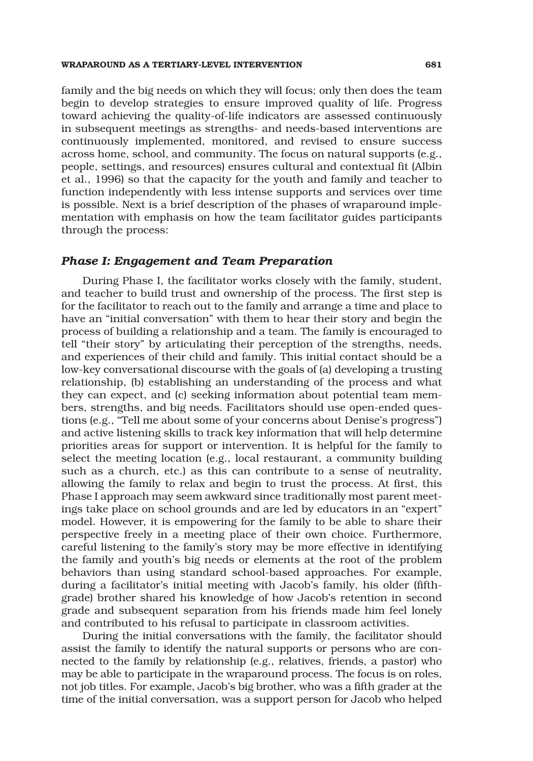family and the big needs on which they will focus; only then does the team begin to develop strategies to ensure improved quality of life. Progress toward achieving the quality-of-life indicators are assessed continuously in subsequent meetings as strengths- and needs-based interventions are continuously implemented, monitored, and revised to ensure success across home, school, and community. The focus on natural supports (e.g., people, settings, and resources) ensures cultural and contextual fit (Albin et al., 1996) so that the capacity for the youth and family and teacher to function independently with less intense supports and services over time is possible. Next is a brief description of the phases of wraparound implementation with emphasis on how the team facilitator guides participants through the process:

## *Phase I: Engagement and Team Preparation*

During Phase I, the facilitator works closely with the family, student, and teacher to build trust and ownership of the process. The first step is for the facilitator to reach out to the family and arrange a time and place to have an "initial conversation" with them to hear their story and begin the process of building a relationship and a team. The family is encouraged to tell "their story" by articulating their perception of the strengths, needs, and experiences of their child and family. This initial contact should be a low-key conversational discourse with the goals of (a) developing a trusting relationship, (b) establishing an understanding of the process and what they can expect, and (c) seeking information about potential team members, strengths, and big needs. Facilitators should use open-ended questions (e.g., "Tell me about some of your concerns about Denise's progress") and active listening skills to track key information that will help determine priorities areas for support or intervention. It is helpful for the family to select the meeting location (e.g., local restaurant, a community building such as a church, etc.) as this can contribute to a sense of neutrality, allowing the family to relax and begin to trust the process. At first, this Phase I approach may seem awkward since traditionally most parent meetings take place on school grounds and are led by educators in an "expert" model. However, it is empowering for the family to be able to share their perspective freely in a meeting place of their own choice. Furthermore, careful listening to the family's story may be more effective in identifying the family and youth's big needs or elements at the root of the problem behaviors than using standard school-based approaches. For example, during a facilitator's initial meeting with Jacob's family, his older (fifthgrade) brother shared his knowledge of how Jacob's retention in second grade and subsequent separation from his friends made him feel lonely and contributed to his refusal to participate in classroom activities.

During the initial conversations with the family, the facilitator should assist the family to identify the natural supports or persons who are connected to the family by relationship (e.g., relatives, friends, a pastor) who may be able to participate in the wraparound process. The focus is on roles, not job titles. For example, Jacob's big brother, who was a fifth grader at the time of the initial conversation, was a support person for Jacob who helped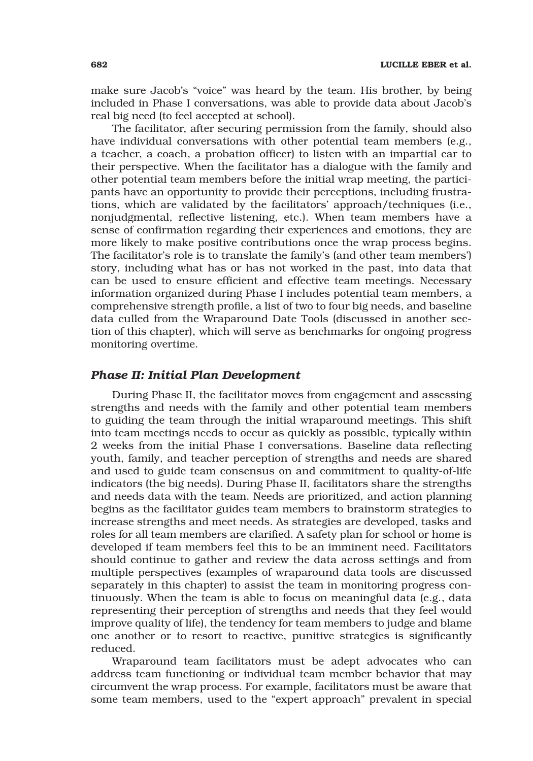**682 LUCILLE EBER et al.** 

make sure Jacob's "voice" was heard by the team. His brother, by being included in Phase I conversations, was able to provide data about Jacob's real big need (to feel accepted at school).

The facilitator, after securing permission from the family, should also have individual conversations with other potential team members (e.g., a teacher, a coach, a probation officer) to listen with an impartial ear to their perspective. When the facilitator has a dialogue with the family and other potential team members before the initial wrap meeting, the participants have an opportunity to provide their perceptions, including frustrations, which are validated by the facilitators' approach/techniques (i.e., nonjudgmental, reflective listening, etc.). When team members have a sense of confirmation regarding their experiences and emotions, they are more likely to make positive contributions once the wrap process begins. The facilitator's role is to translate the family's (and other team members') story, including what has or has not worked in the past, into data that can be used to ensure efficient and effective team meetings. Necessary information organized during Phase I includes potential team members, a comprehensive strength profile, a list of two to four big needs, and baseline data culled from the Wraparound Date Tools (discussed in another section of this chapter), which will serve as benchmarks for ongoing progress monitoring overtime.

## *Phase II: Initial Plan Development*

During Phase II, the facilitator moves from engagement and assessing strengths and needs with the family and other potential team members to guiding the team through the initial wraparound meetings. This shift into team meetings needs to occur as quickly as possible, typically within 2 weeks from the initial Phase I conversations. Baseline data reflecting youth, family, and teacher perception of strengths and needs are shared and used to guide team consensus on and commitment to quality-of-life indicators (the big needs). During Phase II, facilitators share the strengths and needs data with the team. Needs are prioritized, and action planning begins as the facilitator guides team members to brainstorm strategies to increase strengths and meet needs. As strategies are developed, tasks and roles for all team members are clarified. A safety plan for school or home is developed if team members feel this to be an imminent need. Facilitators should continue to gather and review the data across settings and from multiple perspectives (examples of wraparound data tools are discussed separately in this chapter) to assist the team in monitoring progress continuously. When the team is able to focus on meaningful data (e.g., data representing their perception of strengths and needs that they feel would improve quality of life), the tendency for team members to judge and blame one another or to resort to reactive, punitive strategies is significantly reduced.

Wraparound team facilitators must be adept advocates who can address team functioning or individual team member behavior that may circumvent the wrap process. For example, facilitators must be aware that some team members, used to the "expert approach" prevalent in special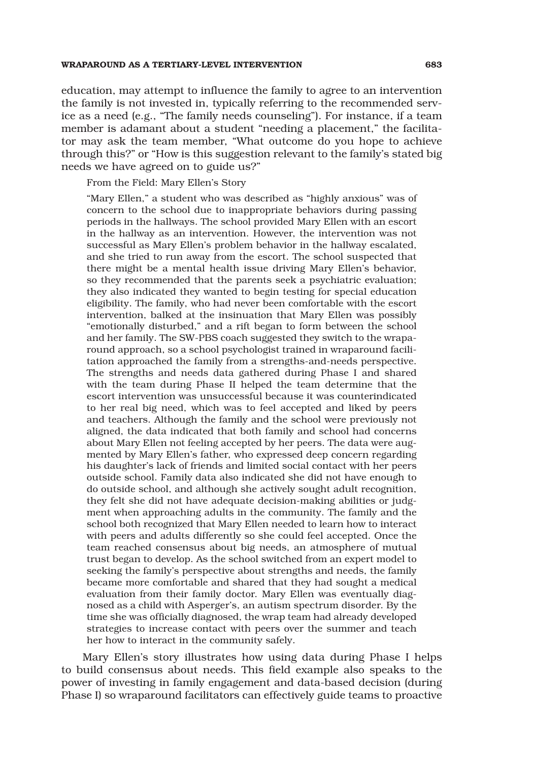education, may attempt to influence the family to agree to an intervention the family is not invested in, typically referring to the recommended service as a need (e.g., "The family needs counseling"). For instance, if a team member is adamant about a student "needing a placement," the facilitator may ask the team member, "What outcome do you hope to achieve through this?" or "How is this suggestion relevant to the family's stated big needs we have agreed on to guide us?"

From the Field: Mary Ellen's Story

"Mary Ellen," a student who was described as "highly anxious" was of concern to the school due to inappropriate behaviors during passing periods in the hallways. The school provided Mary Ellen with an escort in the hallway as an intervention. However, the intervention was not successful as Mary Ellen's problem behavior in the hallway escalated, and she tried to run away from the escort. The school suspected that there might be a mental health issue driving Mary Ellen's behavior, so they recommended that the parents seek a psychiatric evaluation; they also indicated they wanted to begin testing for special education eligibility. The family, who had never been comfortable with the escort intervention, balked at the insinuation that Mary Ellen was possibly "emotionally disturbed," and a rift began to form between the school and her family. The SW-PBS coach suggested they switch to the wraparound approach, so a school psychologist trained in wraparound facilitation approached the family from a strengths-and-needs perspective. The strengths and needs data gathered during Phase I and shared with the team during Phase II helped the team determine that the escort intervention was unsuccessful because it was counterindicated to her real big need, which was to feel accepted and liked by peers and teachers. Although the family and the school were previously not aligned, the data indicated that both family and school had concerns about Mary Ellen not feeling accepted by her peers. The data were augmented by Mary Ellen's father, who expressed deep concern regarding his daughter's lack of friends and limited social contact with her peers outside school. Family data also indicated she did not have enough to do outside school, and although she actively sought adult recognition, they felt she did not have adequate decision-making abilities or judgment when approaching adults in the community. The family and the school both recognized that Mary Ellen needed to learn how to interact with peers and adults differently so she could feel accepted. Once the team reached consensus about big needs, an atmosphere of mutual trust began to develop. As the school switched from an expert model to seeking the family's perspective about strengths and needs, the family became more comfortable and shared that they had sought a medical evaluation from their family doctor. Mary Ellen was eventually diagnosed as a child with Asperger's, an autism spectrum disorder. By the time she was officially diagnosed, the wrap team had already developed strategies to increase contact with peers over the summer and teach her how to interact in the community safely.

Mary Ellen's story illustrates how using data during Phase I helps to build consensus about needs. This field example also speaks to the power of investing in family engagement and data-based decision (during Phase I) so wraparound facilitators can effectively guide teams to proactive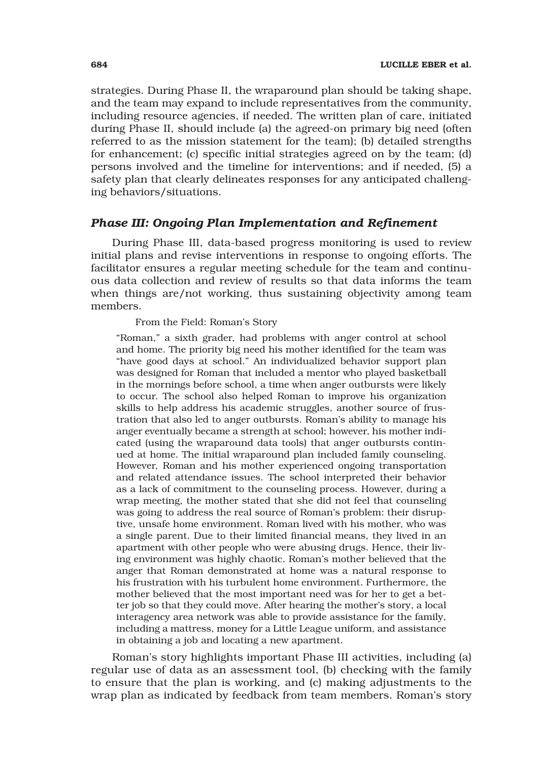strategies. During Phase II, the wraparound plan should be taking shape, and the team may expand to include representatives from the community, including resource agencies, if needed. The written plan of care, initiated during Phase II, should include (a) the agreed-on primary big need (often referred to as the mission statement for the team); (b) detailed strengths for enhancement; (c) specific initial strategies agreed on by the team; (d) persons involved and the timeline for interventions; and if needed, (5) a safety plan that clearly delineates responses for any anticipated challenging behaviors/situations.

### *Phase III: Ongoing Plan Implementation and Refinement*

During Phase III, data-based progress monitoring is used to review initial plans and revise interventions in response to ongoing efforts. The facilitator ensures a regular meeting schedule for the team and continuous data collection and review of results so that data informs the team when things are/not working, thus sustaining objectivity among team members.

From the Field: Roman's Story

"Roman," a sixth grader, had problems with anger control at school and home. The priority big need his mother identified for the team was "have good days at school." An individualized behavior support plan was designed for Roman that included a mentor who played basketball in the mornings before school, a time when anger outbursts were likely to occur. The school also helped Roman to improve his organization skills to help address his academic struggles, another source of frustration that also led to anger outbursts. Roman's ability to manage his anger eventually became a strength at school; however, his mother indicated (using the wraparound data tools) that anger outbursts continued at home. The initial wraparound plan included family counseling. However, Roman and his mother experienced ongoing transportation and related attendance issues. The school interpreted their behavior as a lack of commitment to the counseling process. However, during a wrap meeting, the mother stated that she did not feel that counseling was going to address the real source of Roman's problem: their disruptive, unsafe home environment. Roman lived with his mother, who was a single parent. Due to their limited financial means, they lived in an apartment with other people who were abusing drugs. Hence, their living environment was highly chaotic. Roman's mother believed that the anger that Roman demonstrated at home was a natural response to his frustration with his turbulent home environment. Furthermore, the mother believed that the most important need was for her to get a better job so that they could move. After hearing the mother's story, a local interagency area network was able to provide assistance for the family, including a mattress, money for a Little League uniform, and assistance in obtaining a job and locating a new apartment.

Roman's story highlights important Phase III activities, including (a) regular use of data as an assessment tool, (b) checking with the family to ensure that the plan is working, and (c) making adjustments to the wrap plan as indicated by feedback from team members. Roman's story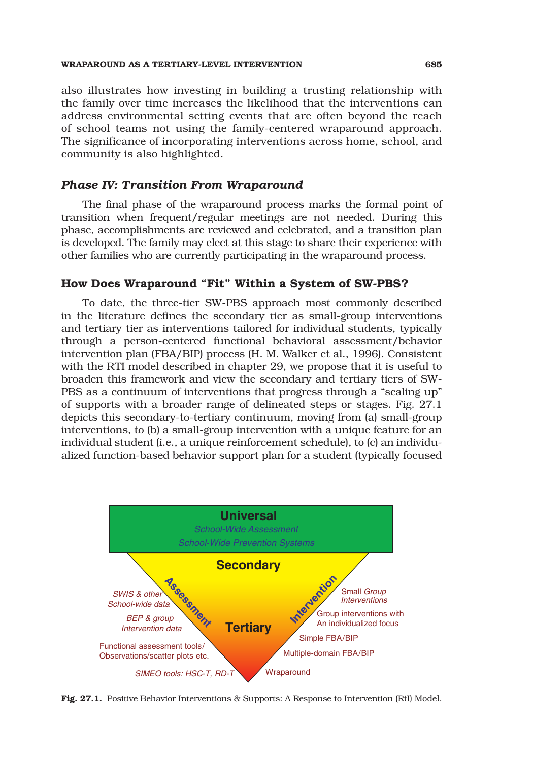also illustrates how investing in building a trusting relationship with the family over time increases the likelihood that the interventions can address environmental setting events that are often beyond the reach of school teams not using the family-centered wraparound approach. The significance of incorporating interventions across home, school, and community is also highlighted.

## *Phase IV: Transition From Wraparound*

The final phase of the wraparound process marks the formal point of transition when frequent/regular meetings are not needed. During this phase, accomplishments are reviewed and celebrated, and a transition plan is developed. The family may elect at this stage to share their experience with other families who are currently participating in the wraparound process.

## **How Does Wraparound "Fit" Within a System of SW-PBS?**

To date, the three-tier SW-PBS approach most commonly described in the literature defines the secondary tier as small-group interventions and tertiary tier as interventions tailored for individual students, typically through a person-centered functional behavioral assessment/behavior intervention plan (FBA/BIP) process (H. M. Walker et al., 1996). Consistent with the RTI model described in chapter 29, we propose that it is useful to broaden this framework and view the secondary and tertiary tiers of SW-PBS as a continuum of interventions that progress through a "scaling up" of supports with a broader range of delineated steps or stages. Fig. 27.1 depicts this secondary-to-tertiary continuum, moving from (a) small-group interventions, to (b) a small-group intervention with a unique feature for an individual student (i.e., a unique reinforcement schedule), to (c) an individualized function-based behavior support plan for a student (typically focused



**Fig. 27.1.** Positive Behavior Interventions & Supports: A Response to Intervention (RtI) Model.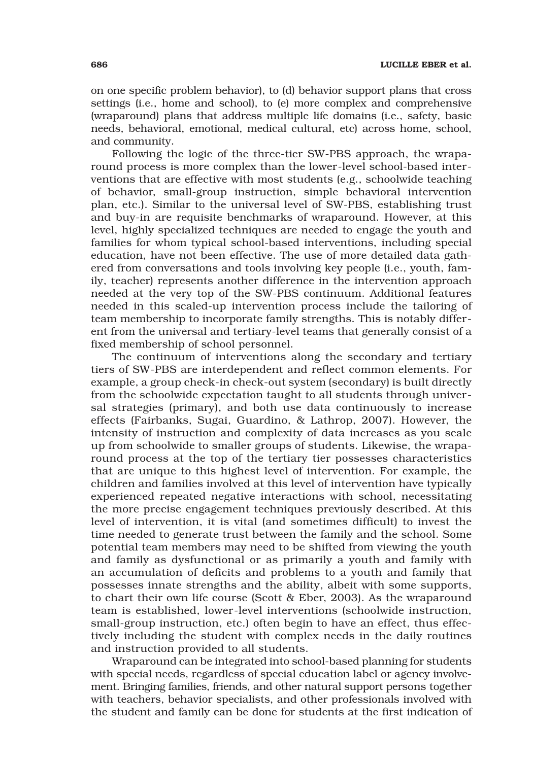on one specific problem behavior), to (d) behavior support plans that cross settings (i.e., home and school), to (e) more complex and comprehensive (wraparound) plans that address multiple life domains (i.e., safety, basic needs, behavioral, emotional, medical cultural, etc) across home, school, and community.

Following the logic of the three-tier SW-PBS approach, the wraparound process is more complex than the lower-level school-based interventions that are effective with most students (e.g., schoolwide teaching of behavior, small-group instruction, simple behavioral intervention plan, etc.). Similar to the universal level of SW-PBS, establishing trust and buy-in are requisite benchmarks of wraparound. However, at this level, highly specialized techniques are needed to engage the youth and families for whom typical school-based interventions, including special education, have not been effective. The use of more detailed data gathered from conversations and tools involving key people (i.e., youth, family, teacher) represents another difference in the intervention approach needed at the very top of the SW-PBS continuum. Additional features needed in this scaled-up intervention process include the tailoring of team membership to incorporate family strengths. This is notably different from the universal and tertiary-level teams that generally consist of a fixed membership of school personnel.

The continuum of interventions along the secondary and tertiary tiers of SW-PBS are interdependent and reflect common elements. For example, a group check-in check-out system (secondary) is built directly from the schoolwide expectation taught to all students through universal strategies (primary), and both use data continuously to increase effects (Fairbanks, Sugai, Guardino, & Lathrop, 2007). However, the intensity of instruction and complexity of data increases as you scale up from schoolwide to smaller groups of students. Likewise, the wraparound process at the top of the tertiary tier possesses characteristics that are unique to this highest level of intervention. For example, the children and families involved at this level of intervention have typically experienced repeated negative interactions with school, necessitating the more precise engagement techniques previously described. At this level of intervention, it is vital (and sometimes difficult) to invest the time needed to generate trust between the family and the school. Some potential team members may need to be shifted from viewing the youth and family as dysfunctional or as primarily a youth and family with an accumulation of deficits and problems to a youth and family that possesses innate strengths and the ability, albeit with some supports, to chart their own life course (Scott & Eber, 2003). As the wraparound team is established, lower-level interventions (schoolwide instruction, small-group instruction, etc.) often begin to have an effect, thus effectively including the student with complex needs in the daily routines and instruction provided to all students.

Wraparound can be integrated into school-based planning for students with special needs, regardless of special education label or agency involvement. Bringing families, friends, and other natural support persons together with teachers, behavior specialists, and other professionals involved with the student and family can be done for students at the first indication of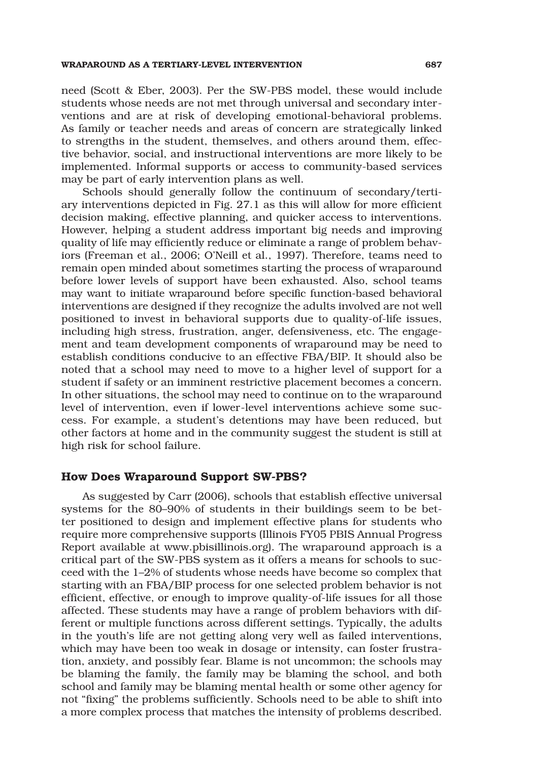need (Scott & Eber, 2003). Per the SW-PBS model, these would include students whose needs are not met through universal and secondary interventions and are at risk of developing emotional-behavioral problems. As family or teacher needs and areas of concern are strategically linked to strengths in the student, themselves, and others around them, effective behavior, social, and instructional interventions are more likely to be implemented. Informal supports or access to community-based services may be part of early intervention plans as well.

Schools should generally follow the continuum of secondary/tertiary interventions depicted in Fig. 27.1 as this will allow for more efficient decision making, effective planning, and quicker access to interventions. However, helping a student address important big needs and improving quality of life may efficiently reduce or eliminate a range of problem behaviors (Freeman et al., 2006; O'Neill et al., 1997). Therefore, teams need to remain open minded about sometimes starting the process of wraparound before lower levels of support have been exhausted. Also, school teams may want to initiate wraparound before specific function-based behavioral interventions are designed if they recognize the adults involved are not well positioned to invest in behavioral supports due to quality-of-life issues, including high stress, frustration, anger, defensiveness, etc. The engagement and team development components of wraparound may be need to establish conditions conducive to an effective FBA/BIP. It should also be noted that a school may need to move to a higher level of support for a student if safety or an imminent restrictive placement becomes a concern. In other situations, the school may need to continue on to the wraparound level of intervention, even if lower-level interventions achieve some success. For example, a student's detentions may have been reduced, but other factors at home and in the community suggest the student is still at high risk for school failure.

## **How Does Wraparound Support SW-PBS?**

As suggested by Carr (2006), schools that establish effective universal systems for the 80–90% of students in their buildings seem to be better positioned to design and implement effective plans for students who require more comprehensive supports (Illinois FY05 PBIS Annual Progress Report available at www.pbisillinois.org). The wraparound approach is a critical part of the SW-PBS system as it offers a means for schools to succeed with the 1–2% of students whose needs have become so complex that starting with an FBA/BIP process for one selected problem behavior is not efficient, effective, or enough to improve quality-of-life issues for all those affected. These students may have a range of problem behaviors with different or multiple functions across different settings. Typically, the adults in the youth's life are not getting along very well as failed interventions, which may have been too weak in dosage or intensity, can foster frustration, anxiety, and possibly fear. Blame is not uncommon; the schools may be blaming the family, the family may be blaming the school, and both school and family may be blaming mental health or some other agency for not "fixing" the problems sufficiently. Schools need to be able to shift into a more complex process that matches the intensity of problems described.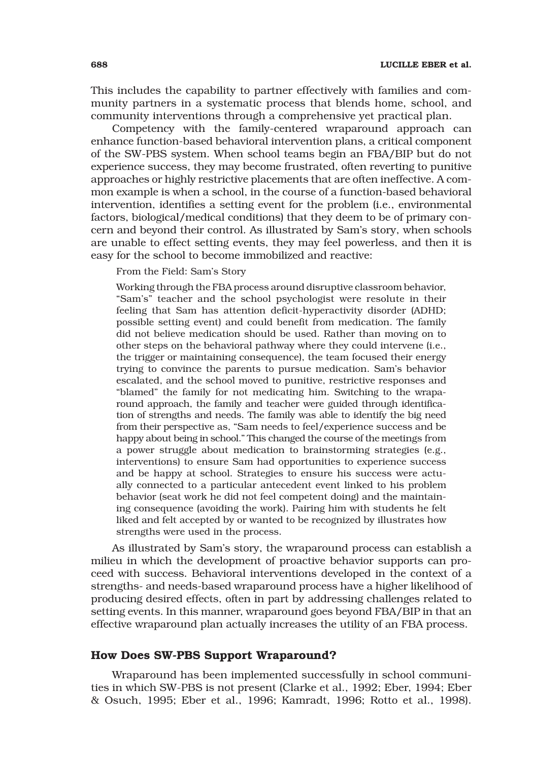This includes the capability to partner effectively with families and community partners in a systematic process that blends home, school, and community interventions through a comprehensive yet practical plan.

Competency with the family-centered wraparound approach can enhance function-based behavioral intervention plans, a critical component of the SW-PBS system. When school teams begin an FBA/BIP but do not experience success, they may become frustrated, often reverting to punitive approaches or highly restrictive placements that are often ineffective. A common example is when a school, in the course of a function-based behavioral intervention, identifies a setting event for the problem (i.e., environmental factors, biological/medical conditions) that they deem to be of primary concern and beyond their control. As illustrated by Sam's story, when schools are unable to effect setting events, they may feel powerless, and then it is easy for the school to become immobilized and reactive:

From the Field: Sam's Story

Working through the FBA process around disruptive classroom behavior, "Sam's" teacher and the school psychologist were resolute in their feeling that Sam has attention deficit-hyperactivity disorder (ADHD; possible setting event) and could benefit from medication. The family did not believe medication should be used. Rather than moving on to other steps on the behavioral pathway where they could intervene (i.e., the trigger or maintaining consequence), the team focused their energy trying to convince the parents to pursue medication. Sam's behavior escalated, and the school moved to punitive, restrictive responses and "blamed" the family for not medicating him. Switching to the wraparound approach, the family and teacher were guided through identification of strengths and needs. The family was able to identify the big need from their perspective as, "Sam needs to feel/experience success and be happy about being in school." This changed the course of the meetings from a power struggle about medication to brainstorming strategies (e.g., interventions) to ensure Sam had opportunities to experience success and be happy at school. Strategies to ensure his success were actually connected to a particular antecedent event linked to his problem behavior (seat work he did not feel competent doing) and the maintaining consequence (avoiding the work). Pairing him with students he felt liked and felt accepted by or wanted to be recognized by illustrates how strengths were used in the process.

As illustrated by Sam's story, the wraparound process can establish a milieu in which the development of proactive behavior supports can proceed with success. Behavioral interventions developed in the context of a strengths- and needs-based wraparound process have a higher likelihood of producing desired effects, often in part by addressing challenges related to setting events. In this manner, wraparound goes beyond FBA/BIP in that an effective wraparound plan actually increases the utility of an FBA process.

## **How Does SW-PBS Support Wraparound?**

Wraparound has been implemented successfully in school communities in which SW-PBS is not present (Clarke et al., 1992; Eber, 1994; Eber & Osuch, 1995; Eber et al., 1996; Kamradt, 1996; Rotto et al., 1998).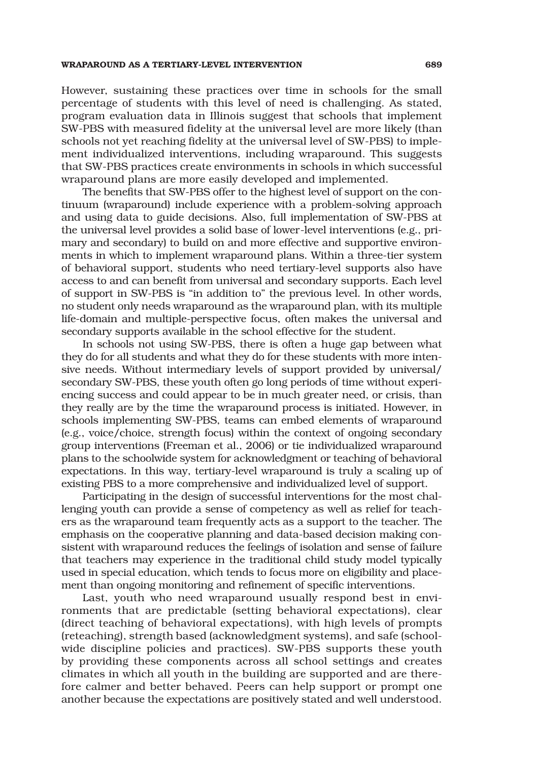However, sustaining these practices over time in schools for the small percentage of students with this level of need is challenging. As stated, program evaluation data in Illinois suggest that schools that implement SW-PBS with measured fidelity at the universal level are more likely (than schools not yet reaching fidelity at the universal level of SW-PBS) to implement individualized interventions, including wraparound. This suggests that SW-PBS practices create environments in schools in which successful wraparound plans are more easily developed and implemented.

The benefits that SW-PBS offer to the highest level of support on the continuum (wraparound) include experience with a problem-solving approach and using data to guide decisions. Also, full implementation of SW-PBS at the universal level provides a solid base of lower-level interventions (e.g., primary and secondary) to build on and more effective and supportive environments in which to implement wraparound plans. Within a three-tier system of behavioral support, students who need tertiary-level supports also have access to and can benefit from universal and secondary supports. Each level of support in SW-PBS is "in addition to" the previous level. In other words, no student only needs wraparound as the wraparound plan, with its multiple life-domain and multiple-perspective focus, often makes the universal and secondary supports available in the school effective for the student.

In schools not using SW-PBS, there is often a huge gap between what they do for all students and what they do for these students with more intensive needs. Without intermediary levels of support provided by universal/ secondary SW-PBS, these youth often go long periods of time without experiencing success and could appear to be in much greater need, or crisis, than they really are by the time the wraparound process is initiated. However, in schools implementing SW-PBS, teams can embed elements of wraparound (e.g., voice/choice, strength focus) within the context of ongoing secondary group interventions (Freeman et al., 2006) or tie individualized wraparound plans to the schoolwide system for acknowledgment or teaching of behavioral expectations. In this way, tertiary-level wraparound is truly a scaling up of existing PBS to a more comprehensive and individualized level of support.

Participating in the design of successful interventions for the most challenging youth can provide a sense of competency as well as relief for teachers as the wraparound team frequently acts as a support to the teacher. The emphasis on the cooperative planning and data-based decision making consistent with wraparound reduces the feelings of isolation and sense of failure that teachers may experience in the traditional child study model typically used in special education, which tends to focus more on eligibility and placement than ongoing monitoring and refinement of specific interventions.

Last, youth who need wraparound usually respond best in environments that are predictable (setting behavioral expectations), clear (direct teaching of behavioral expectations), with high levels of prompts (reteaching), strength based (acknowledgment systems), and safe (schoolwide discipline policies and practices). SW-PBS supports these youth by providing these components across all school settings and creates climates in which all youth in the building are supported and are therefore calmer and better behaved. Peers can help support or prompt one another because the expectations are positively stated and well understood.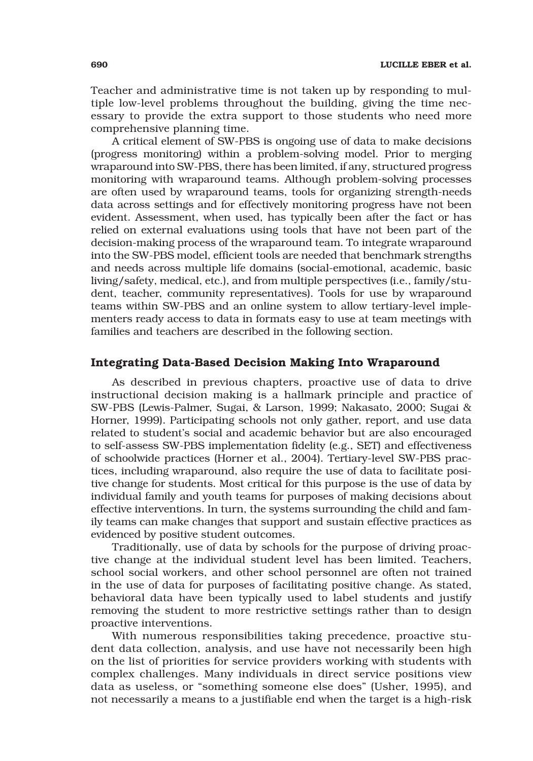Teacher and administrative time is not taken up by responding to multiple low-level problems throughout the building, giving the time necessary to provide the extra support to those students who need more comprehensive planning time.

A critical element of SW-PBS is ongoing use of data to make decisions (progress monitoring) within a problem-solving model. Prior to merging wraparound into SW-PBS, there has been limited, if any, structured progress monitoring with wraparound teams. Although problem-solving processes are often used by wraparound teams, tools for organizing strength-needs data across settings and for effectively monitoring progress have not been evident. Assessment, when used, has typically been after the fact or has relied on external evaluations using tools that have not been part of the decision-making process of the wraparound team. To integrate wraparound into the SW-PBS model, efficient tools are needed that benchmark strengths and needs across multiple life domains (social-emotional, academic, basic living/safety, medical, etc.), and from multiple perspectives (i.e., family/student, teacher, community representatives). Tools for use by wraparound teams within SW-PBS and an online system to allow tertiary-level implementers ready access to data in formats easy to use at team meetings with families and teachers are described in the following section.

## **Integrating Data-Based Decision Making Into Wraparound**

As described in previous chapters, proactive use of data to drive instructional decision making is a hallmark principle and practice of SW-PBS (Lewis-Palmer, Sugai, & Larson, 1999; Nakasato, 2000; Sugai & Horner, 1999). Participating schools not only gather, report, and use data related to student's social and academic behavior but are also encouraged to self-assess SW-PBS implementation fidelity (e.g., SET) and effectiveness of schoolwide practices (Horner et al., 2004). Tertiary-level SW-PBS practices, including wraparound, also require the use of data to facilitate positive change for students. Most critical for this purpose is the use of data by individual family and youth teams for purposes of making decisions about effective interventions. In turn, the systems surrounding the child and family teams can make changes that support and sustain effective practices as evidenced by positive student outcomes.

Traditionally, use of data by schools for the purpose of driving proactive change at the individual student level has been limited. Teachers, school social workers, and other school personnel are often not trained in the use of data for purposes of facilitating positive change. As stated, behavioral data have been typically used to label students and justify removing the student to more restrictive settings rather than to design proactive interventions.

With numerous responsibilities taking precedence, proactive student data collection, analysis, and use have not necessarily been high on the list of priorities for service providers working with students with complex challenges. Many individuals in direct service positions view data as useless, or "something someone else does" (Usher, 1995), and not necessarily a means to a justifiable end when the target is a high-risk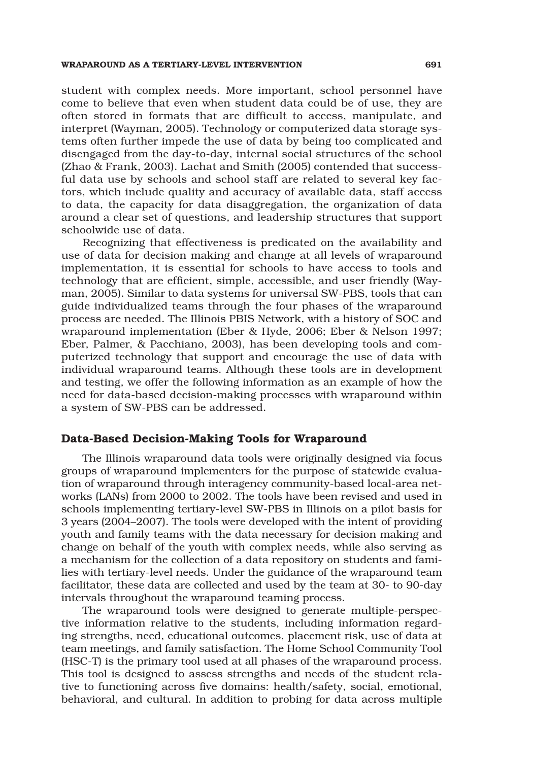student with complex needs. More important, school personnel have come to believe that even when student data could be of use, they are often stored in formats that are difficult to access, manipulate, and interpret (Wayman, 2005). Technology or computerized data storage systems often further impede the use of data by being too complicated and disengaged from the day-to-day, internal social structures of the school (Zhao & Frank, 2003). Lachat and Smith (2005) contended that successful data use by schools and school staff are related to several key factors, which include quality and accuracy of available data, staff access to data, the capacity for data disaggregation, the organization of data around a clear set of questions, and leadership structures that support schoolwide use of data.

Recognizing that effectiveness is predicated on the availability and use of data for decision making and change at all levels of wraparound implementation, it is essential for schools to have access to tools and technology that are efficient, simple, accessible, and user friendly (Wayman, 2005). Similar to data systems for universal SW-PBS, tools that can guide individualized teams through the four phases of the wraparound process are needed. The Illinois PBIS Network, with a history of SOC and wraparound implementation (Eber & Hyde, 2006; Eber & Nelson 1997; Eber, Palmer, & Pacchiano, 2003), has been developing tools and computerized technology that support and encourage the use of data with individual wraparound teams. Although these tools are in development and testing, we offer the following information as an example of how the need for data-based decision-making processes with wraparound within a system of SW-PBS can be addressed.

## **Data-Based Decision-Making Tools for Wraparound**

The Illinois wraparound data tools were originally designed via focus groups of wraparound implementers for the purpose of statewide evaluation of wraparound through interagency community-based local-area networks (LANs) from 2000 to 2002. The tools have been revised and used in schools implementing tertiary-level SW-PBS in Illinois on a pilot basis for 3 years (2004–2007). The tools were developed with the intent of providing youth and family teams with the data necessary for decision making and change on behalf of the youth with complex needs, while also serving as a mechanism for the collection of a data repository on students and families with tertiary-level needs. Under the guidance of the wraparound team facilitator, these data are collected and used by the team at 30- to 90-day intervals throughout the wraparound teaming process.

The wraparound tools were designed to generate multiple-perspective information relative to the students, including information regarding strengths, need, educational outcomes, placement risk, use of data at team meetings, and family satisfaction. The Home School Community Tool (HSC-T) is the primary tool used at all phases of the wraparound process. This tool is designed to assess strengths and needs of the student relative to functioning across five domains: health/safety, social, emotional, behavioral, and cultural. In addition to probing for data across multiple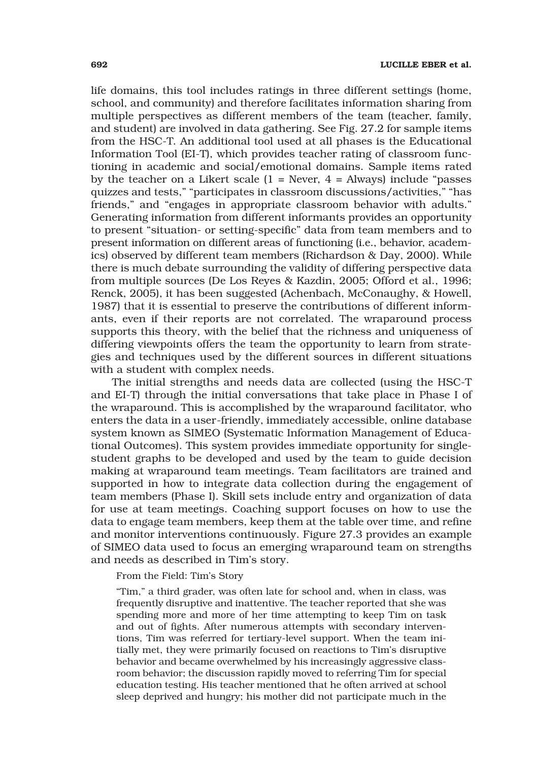life domains, this tool includes ratings in three different settings (home, school, and community) and therefore facilitates information sharing from multiple perspectives as different members of the team (teacher, family, and student) are involved in data gathering. See Fig. 27.2 for sample items from the HSC-T. An additional tool used at all phases is the Educational Information Tool (EI-T), which provides teacher rating of classroom functioning in academic and social/emotional domains. Sample items rated by the teacher on a Likert scale  $(1 = \text{Never}, 4 = \text{Always})$  include "passes" quizzes and tests," "participates in classroom discussions/activities," "has friends," and "engages in appropriate classroom behavior with adults." Generating information from different informants provides an opportunity to present "situation- or setting-specific" data from team members and to present information on different areas of functioning (i.e., behavior, academics) observed by different team members (Richardson & Day, 2000). While there is much debate surrounding the validity of differing perspective data from multiple sources (De Los Reyes & Kazdin, 2005; Offord et al., 1996; Renck, 2005), it has been suggested (Achenbach, McConaughy, & Howell, 1987) that it is essential to preserve the contributions of different informants, even if their reports are not correlated. The wraparound process supports this theory, with the belief that the richness and uniqueness of differing viewpoints offers the team the opportunity to learn from strategies and techniques used by the different sources in different situations with a student with complex needs.

The initial strengths and needs data are collected (using the HSC-T and EI-T) through the initial conversations that take place in Phase I of the wraparound. This is accomplished by the wraparound facilitator, who enters the data in a user-friendly, immediately accessible, online database system known as SIMEO (Systematic Information Management of Educational Outcomes). This system provides immediate opportunity for singlestudent graphs to be developed and used by the team to guide decision making at wraparound team meetings. Team facilitators are trained and supported in how to integrate data collection during the engagement of team members (Phase I). Skill sets include entry and organization of data for use at team meetings. Coaching support focuses on how to use the data to engage team members, keep them at the table over time, and refine and monitor interventions continuously. Figure 27.3 provides an example of SIMEO data used to focus an emerging wraparound team on strengths and needs as described in Tim's story.

#### From the Field: Tim's Story

"Tim," a third grader, was often late for school and, when in class, was frequently disruptive and inattentive. The teacher reported that she was spending more and more of her time attempting to keep Tim on task and out of fights. After numerous attempts with secondary interventions, Tim was referred for tertiary-level support. When the team initially met, they were primarily focused on reactions to Tim's disruptive behavior and became overwhelmed by his increasingly aggressive classroom behavior; the discussion rapidly moved to referring Tim for special education testing. His teacher mentioned that he often arrived at school sleep deprived and hungry; his mother did not participate much in the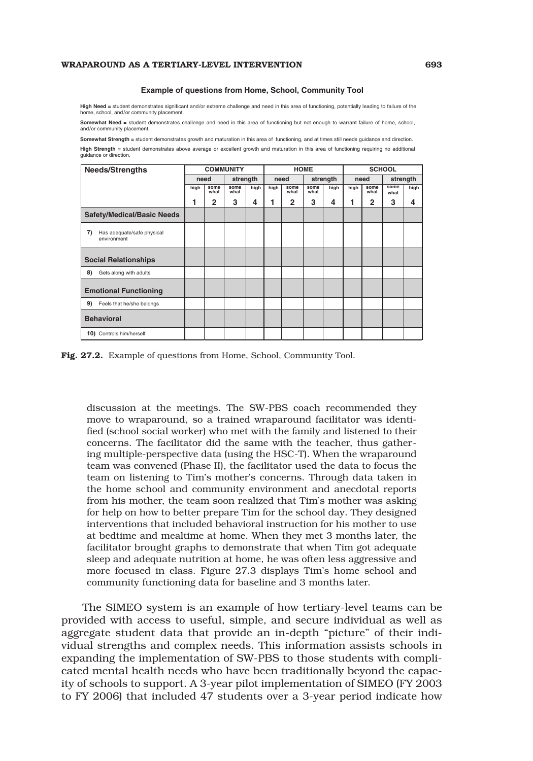#### **Example of questions from Home, School, Community Tool**

**High Need =** student demonstrates significant and/or extreme challenge and need in this area of functioning, potentially leading to failure of the le, school, and/or community placement

**Somewhat Need =** student demonstrates challenge and need in this area of functioning but not enough to warrant failure of home, school, and/or community placement.

**Somewhat Strength =** student demonstrates growth and maturation in this area of functioning, and at times still needs guidance and direction. **High Strength =** student demonstrates above average or excellent growth and maturation in this area of functioning requiring no additional guidance or direction.

| <b>Needs/Strengths</b>                          | <b>COMMUNITY</b> |              |              |      | <b>HOME</b> |                |              |      | <b>SCHOOL</b> |                |              |      |
|-------------------------------------------------|------------------|--------------|--------------|------|-------------|----------------|--------------|------|---------------|----------------|--------------|------|
|                                                 | need             |              | strength     |      | need        |                | strength     |      | need          |                | strength     |      |
|                                                 | high             | some<br>what | some<br>what | high | high        | some<br>what   | some<br>what | high | high          | some<br>what   | some<br>what | high |
|                                                 | 1                | 2            | 3            | 4    | 1           | $\overline{2}$ | 3            | 4    |               | $\overline{2}$ | 3            | 4    |
| <b>Safety/Medical/Basic Needs</b>               |                  |              |              |      |             |                |              |      |               |                |              |      |
| 7)<br>Has adequate/safe physical<br>environment |                  |              |              |      |             |                |              |      |               |                |              |      |
| <b>Social Relationships</b>                     |                  |              |              |      |             |                |              |      |               |                |              |      |
| Gets along with adults<br>8)                    |                  |              |              |      |             |                |              |      |               |                |              |      |
| <b>Emotional Functioning</b>                    |                  |              |              |      |             |                |              |      |               |                |              |      |
| 9)<br>Feels that he/she belongs                 |                  |              |              |      |             |                |              |      |               |                |              |      |
| <b>Behavioral</b>                               |                  |              |              |      |             |                |              |      |               |                |              |      |
| 10) Controls him/herself                        |                  |              |              |      |             |                |              |      |               |                |              |      |

**Fig. 27.2.** Example of questions from Home, School, Community Tool.

discussion at the meetings. The SW-PBS coach recommended they move to wraparound, so a trained wraparound facilitator was identified (school social worker) who met with the family and listened to their concerns. The facilitator did the same with the teacher, thus gathering multiple-perspective data (using the HSC-T). When the wraparound team was convened (Phase II), the facilitator used the data to focus the team on listening to Tim's mother's concerns. Through data taken in the home school and community environment and anecdotal reports from his mother, the team soon realized that Tim's mother was asking for help on how to better prepare Tim for the school day. They designed interventions that included behavioral instruction for his mother to use at bedtime and mealtime at home. When they met 3 months later, the facilitator brought graphs to demonstrate that when Tim got adequate sleep and adequate nutrition at home, he was often less aggressive and more focused in class. Figure 27.3 displays Tim's home school and community functioning data for baseline and 3 months later.

The SIMEO system is an example of how tertiary-level teams can be provided with access to useful, simple, and secure individual as well as aggregate student data that provide an in-depth "picture" of their individual strengths and complex needs. This information assists schools in expanding the implementation of SW-PBS to those students with complicated mental health needs who have been traditionally beyond the capacity of schools to support. A 3-year pilot implementation of SIMEO (FY 2003 to FY 2006) that included 47 students over a 3-year period indicate how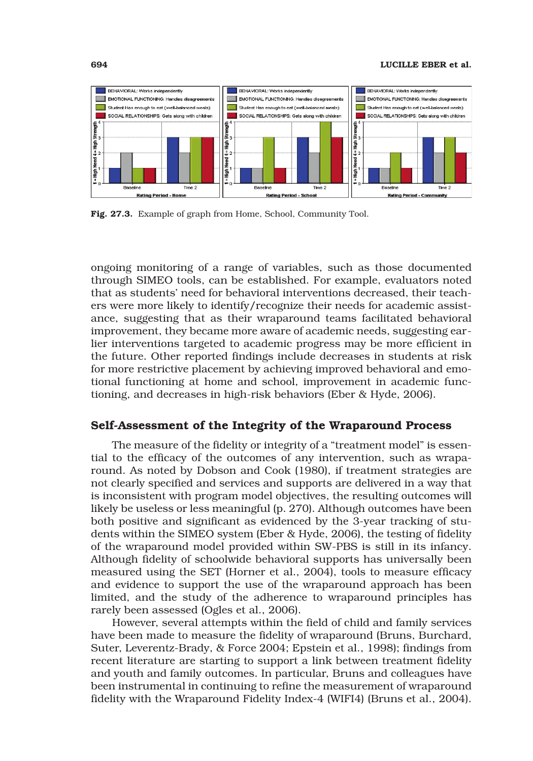#### **694 LUCILLE EBER et al.**



**Fig. 27.3.** Example of graph from Home, School, Community Tool.

ongoing monitoring of a range of variables, such as those documented through SIMEO tools, can be established. For example, evaluators noted that as students' need for behavioral interventions decreased, their teachers were more likely to identify/recognize their needs for academic assistance, suggesting that as their wraparound teams facilitated behavioral improvement, they became more aware of academic needs, suggesting earlier interventions targeted to academic progress may be more efficient in the future. Other reported findings include decreases in students at risk for more restrictive placement by achieving improved behavioral and emotional functioning at home and school, improvement in academic functioning, and decreases in high-risk behaviors (Eber & Hyde, 2006).

## **Self-Assessment of the Integrity of the Wraparound Process**

The measure of the fidelity or integrity of a "treatment model" is essential to the efficacy of the outcomes of any intervention, such as wraparound. As noted by Dobson and Cook (1980), if treatment strategies are not clearly specified and services and supports are delivered in a way that is inconsistent with program model objectives, the resulting outcomes will likely be useless or less meaningful (p. 270). Although outcomes have been both positive and significant as evidenced by the 3-year tracking of students within the SIMEO system (Eber & Hyde, 2006), the testing of fidelity of the wraparound model provided within SW-PBS is still in its infancy. Although fidelity of schoolwide behavioral supports has universally been measured using the SET (Horner et al., 2004), tools to measure efficacy and evidence to support the use of the wraparound approach has been limited, and the study of the adherence to wraparound principles has rarely been assessed (Ogles et al., 2006).

However, several attempts within the field of child and family services have been made to measure the fidelity of wraparound (Bruns, Burchard, Suter, Leverentz-Brady, & Force 2004; Epstein et al., 1998); findings from recent literature are starting to support a link between treatment fidelity and youth and family outcomes. In particular, Bruns and colleagues have been instrumental in continuing to refine the measurement of wraparound fidelity with the Wraparound Fidelity Index-4 (WIFI4) (Bruns et al., 2004).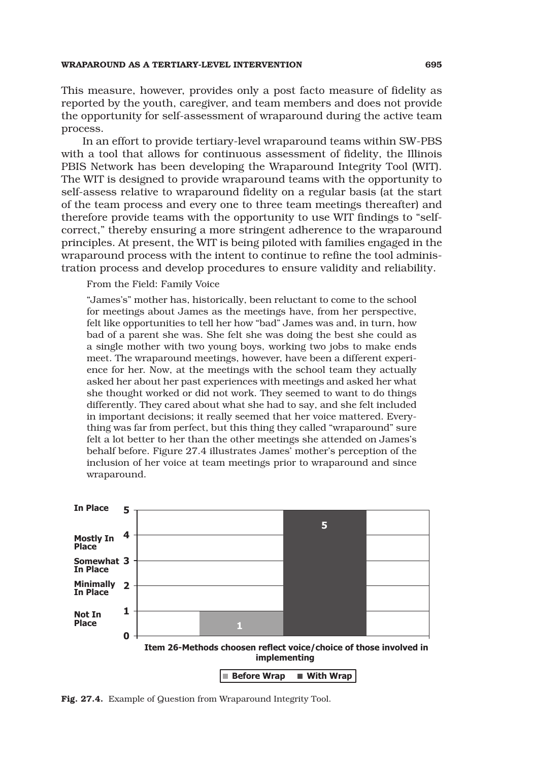This measure, however, provides only a post facto measure of fidelity as reported by the youth, caregiver, and team members and does not provide the opportunity for self-assessment of wraparound during the active team process.

In an effort to provide tertiary-level wraparound teams within SW-PBS with a tool that allows for continuous assessment of fidelity, the Illinois PBIS Network has been developing the Wraparound Integrity Tool (WIT). The WIT is designed to provide wraparound teams with the opportunity to self-assess relative to wraparound fidelity on a regular basis (at the start of the team process and every one to three team meetings thereafter) and therefore provide teams with the opportunity to use WIT findings to "selfcorrect," thereby ensuring a more stringent adherence to the wraparound principles. At present, the WIT is being piloted with families engaged in the wraparound process with the intent to continue to refine the tool administration process and develop procedures to ensure validity and reliability.

From the Field: Family Voice

"James's" mother has, historically, been reluctant to come to the school for meetings about James as the meetings have, from her perspective, felt like opportunities to tell her how "bad" James was and, in turn, how bad of a parent she was. She felt she was doing the best she could as a single mother with two young boys, working two jobs to make ends meet. The wraparound meetings, however, have been a different experience for her. Now, at the meetings with the school team they actually asked her about her past experiences with meetings and asked her what she thought worked or did not work. They seemed to want to do things differently. They cared about what she had to say, and she felt included in important decisions; it really seemed that her voice mattered. Everything was far from perfect, but this thing they called "wraparound" sure felt a lot better to her than the other meetings she attended on James's behalf before. Figure 27.4 illustrates James' mother's perception of the inclusion of her voice at team meetings prior to wraparound and since wraparound.



**Fig. 27.4.** Example of Question from Wraparound Integrity Tool.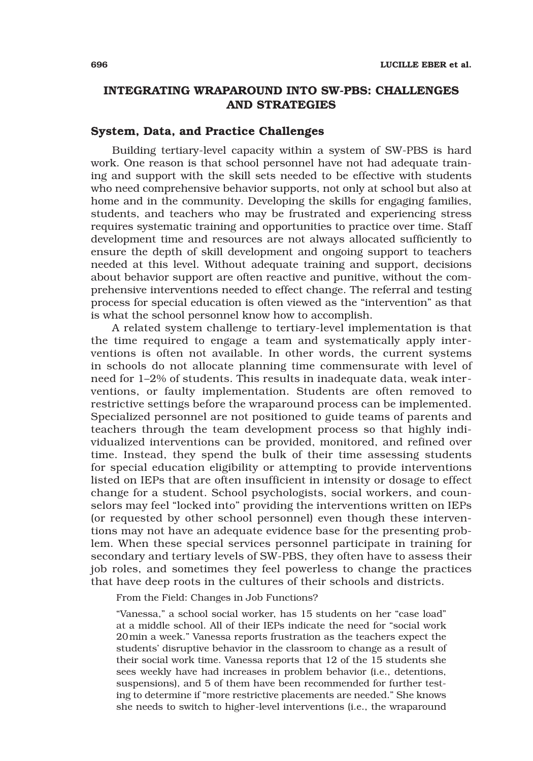## **INTEGRATING WRAPAROUND INTO SW-PBS: CHALLENGES AND STRATEGIES**

## **System, Data, and Practice Challenges**

Building tertiary-level capacity within a system of SW-PBS is hard work. One reason is that school personnel have not had adequate training and support with the skill sets needed to be effective with students who need comprehensive behavior supports, not only at school but also at home and in the community. Developing the skills for engaging families, students, and teachers who may be frustrated and experiencing stress requires systematic training and opportunities to practice over time. Staff development time and resources are not always allocated sufficiently to ensure the depth of skill development and ongoing support to teachers needed at this level. Without adequate training and support, decisions about behavior support are often reactive and punitive, without the comprehensive interventions needed to effect change. The referral and testing process for special education is often viewed as the "intervention" as that is what the school personnel know how to accomplish.

A related system challenge to tertiary-level implementation is that the time required to engage a team and systematically apply interventions is often not available. In other words, the current systems in schools do not allocate planning time commensurate with level of need for 1–2% of students. This results in inadequate data, weak interventions, or faulty implementation. Students are often removed to restrictive settings before the wraparound process can be implemented. Specialized personnel are not positioned to guide teams of parents and teachers through the team development process so that highly individualized interventions can be provided, monitored, and refined over time. Instead, they spend the bulk of their time assessing students for special education eligibility or attempting to provide interventions listed on IEPs that are often insufficient in intensity or dosage to effect change for a student. School psychologists, social workers, and counselors may feel "locked into" providing the interventions written on IEPs (or requested by other school personnel) even though these interventions may not have an adequate evidence base for the presenting problem. When these special services personnel participate in training for secondary and tertiary levels of SW-PBS, they often have to assess their job roles, and sometimes they feel powerless to change the practices that have deep roots in the cultures of their schools and districts.

From the Field: Changes in Job Functions?

"Vanessa," a school social worker, has 15 students on her "case load" at a middle school. All of their IEPs indicate the need for "social work 20 min a week." Vanessa reports frustration as the teachers expect the students' disruptive behavior in the classroom to change as a result of their social work time. Vanessa reports that 12 of the 15 students she sees weekly have had increases in problem behavior (i.e., detentions, suspensions), and 5 of them have been recommended for further testing to determine if "more restrictive placements are needed." She knows she needs to switch to higher-level interventions (i.e., the wraparound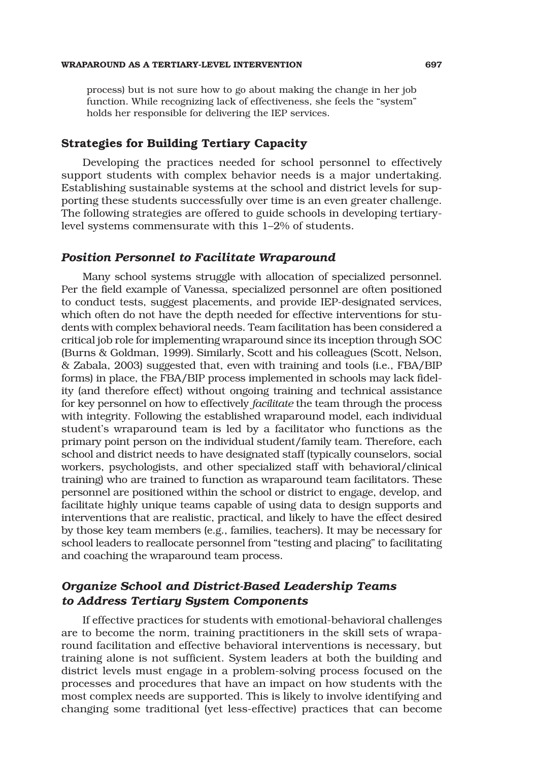process) but is not sure how to go about making the change in her job function. While recognizing lack of effectiveness, she feels the "system" holds her responsible for delivering the IEP services.

## **Strategies for Building Tertiary Capacity**

Developing the practices needed for school personnel to effectively support students with complex behavior needs is a major undertaking. Establishing sustainable systems at the school and district levels for supporting these students successfully over time is an even greater challenge. The following strategies are offered to guide schools in developing tertiarylevel systems commensurate with this 1–2% of students.

## *Position Personnel to Facilitate Wraparound*

Many school systems struggle with allocation of specialized personnel. Per the field example of Vanessa, specialized personnel are often positioned to conduct tests, suggest placements, and provide IEP-designated services, which often do not have the depth needed for effective interventions for students with complex behavioral needs. Team facilitation has been considered a critical job role for implementing wraparound since its inception through SOC (Burns & Goldman, 1999). Similarly, Scott and his colleagues (Scott, Nelson, & Zabala, 2003) suggested that, even with training and tools (i.e., FBA/BIP forms) in place, the FBA/BIP process implemented in schools may lack fidelity (and therefore effect) without ongoing training and technical assistance for key personnel on how to effectively *facilitate* the team through the process with integrity. Following the established wraparound model, each individual student's wraparound team is led by a facilitator who functions as the primary point person on the individual student/family team. Therefore, each school and district needs to have designated staff (typically counselors, social workers, psychologists, and other specialized staff with behavioral/clinical training) who are trained to function as wraparound team facilitators. These personnel are positioned within the school or district to engage, develop, and facilitate highly unique teams capable of using data to design supports and interventions that are realistic, practical, and likely to have the effect desired by those key team members (e.g., families, teachers). It may be necessary for school leaders to reallocate personnel from "testing and placing" to facilitating and coaching the wraparound team process.

## *Organize School and District-Based Leadership Teams to Address Tertiary System Components*

If effective practices for students with emotional-behavioral challenges are to become the norm, training practitioners in the skill sets of wraparound facilitation and effective behavioral interventions is necessary, but training alone is not sufficient. System leaders at both the building and district levels must engage in a problem-solving process focused on the processes and procedures that have an impact on how students with the most complex needs are supported. This is likely to involve identifying and changing some traditional (yet less-effective) practices that can become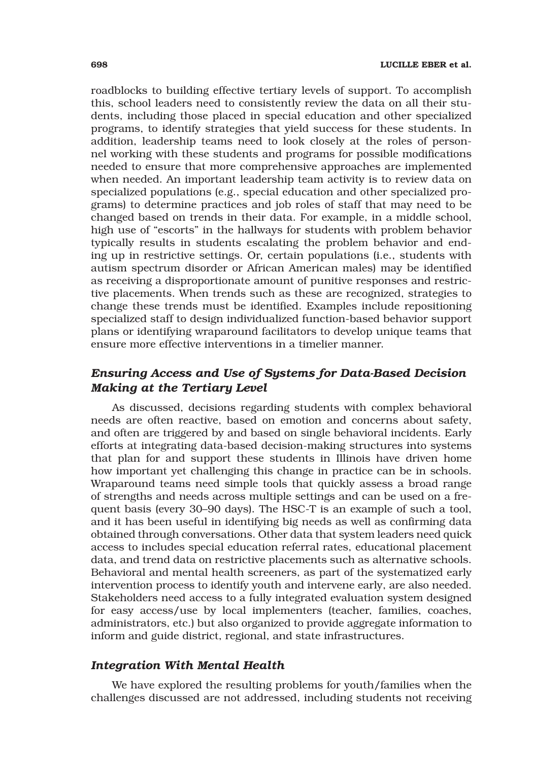roadblocks to building effective tertiary levels of support. To accomplish this, school leaders need to consistently review the data on all their students, including those placed in special education and other specialized programs, to identify strategies that yield success for these students. In addition, leadership teams need to look closely at the roles of personnel working with these students and programs for possible modifications needed to ensure that more comprehensive approaches are implemented when needed. An important leadership team activity is to review data on specialized populations (e.g., special education and other specialized programs) to determine practices and job roles of staff that may need to be changed based on trends in their data. For example, in a middle school, high use of "escorts" in the hallways for students with problem behavior typically results in students escalating the problem behavior and ending up in restrictive settings. Or, certain populations (i.e., students with autism spectrum disorder or African American males) may be identified as receiving a disproportionate amount of punitive responses and restrictive placements. When trends such as these are recognized, strategies to change these trends must be identified. Examples include repositioning specialized staff to design individualized function-based behavior support plans or identifying wraparound facilitators to develop unique teams that ensure more effective interventions in a timelier manner.

## *Ensuring Access and Use of Systems for Data-Based Decision Making at the Tertiary Level*

As discussed, decisions regarding students with complex behavioral needs are often reactive, based on emotion and concerns about safety, and often are triggered by and based on single behavioral incidents. Early efforts at integrating data-based decision-making structures into systems that plan for and support these students in Illinois have driven home how important yet challenging this change in practice can be in schools. Wraparound teams need simple tools that quickly assess a broad range of strengths and needs across multiple settings and can be used on a frequent basis (every 30–90 days). The HSC-T is an example of such a tool, and it has been useful in identifying big needs as well as confirming data obtained through conversations. Other data that system leaders need quick access to includes special education referral rates, educational placement data, and trend data on restrictive placements such as alternative schools. Behavioral and mental health screeners, as part of the systematized early intervention process to identify youth and intervene early, are also needed. Stakeholders need access to a fully integrated evaluation system designed for easy access/use by local implementers (teacher, families, coaches, administrators, etc.) but also organized to provide aggregate information to inform and guide district, regional, and state infrastructures.

## *Integration With Mental Health*

We have explored the resulting problems for youth/families when the challenges discussed are not addressed, including students not receiving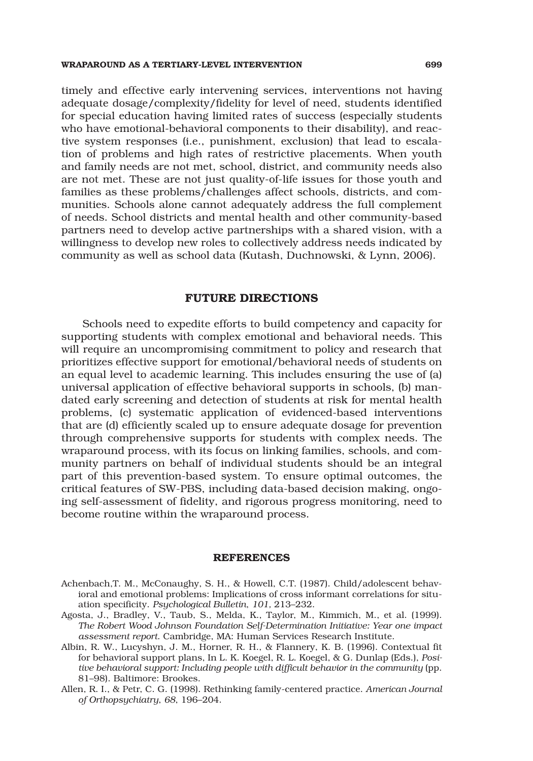timely and effective early intervening services, interventions not having adequate dosage/complexity/fidelity for level of need, students identified for special education having limited rates of success (especially students who have emotional-behavioral components to their disability), and reactive system responses (i.e., punishment, exclusion) that lead to escalation of problems and high rates of restrictive placements. When youth and family needs are not met, school, district, and community needs also are not met. These are not just quality-of-life issues for those youth and families as these problems/challenges affect schools, districts, and communities. Schools alone cannot adequately address the full complement of needs. School districts and mental health and other community-based partners need to develop active partnerships with a shared vision, with a willingness to develop new roles to collectively address needs indicated by community as well as school data (Kutash, Duchnowski, & Lynn, 2006).

## **FUTURE DIRECTIONS**

Schools need to expedite efforts to build competency and capacity for supporting students with complex emotional and behavioral needs. This will require an uncompromising commitment to policy and research that prioritizes effective support for emotional/behavioral needs of students on an equal level to academic learning. This includes ensuring the use of (a) universal application of effective behavioral supports in schools, (b) mandated early screening and detection of students at risk for mental health problems, (c) systematic application of evidenced-based interventions that are (d) efficiently scaled up to ensure adequate dosage for prevention through comprehensive supports for students with complex needs. The wraparound process, with its focus on linking families, schools, and community partners on behalf of individual students should be an integral part of this prevention-based system. To ensure optimal outcomes, the critical features of SW-PBS, including data-based decision making, ongoing self-assessment of fidelity, and rigorous progress monitoring, need to become routine within the wraparound process.

#### **REFERENCES**

- Achenbach,T. M., McConaughy, S. H., & Howell, C.T. (1987). Child/adolescent behavioral and emotional problems: Implications of cross informant correlations for situation specificity. *Psychological Bulletin*, *101,* 213–232.
- Agosta, J., Bradley, V., Taub, S., Melda, K., Taylor, M., Kimmich, M., et al. (1999). *The Robert Wood Johnson Foundation Self-Determination Initiative: Year one impact assessment report*. Cambridge, MA: Human Services Research Institute.
- Albin, R. W., Lucyshyn, J. M., Horner, R. H., & Flannery, K. B. (1996). Contextual fit for behavioral support plans, In L. K. Koegel, R. L. Koegel, & G. Dunlap (Eds.), *Positive behavioral support: Including people with difficult behavior in the community* (pp. 81–98). Baltimore: Brookes.
- Allen, R. I., & Petr, C. G. (1998). Rethinking family-centered practice. *American Journal of Orthopsychiatry*, *68*, 196–204.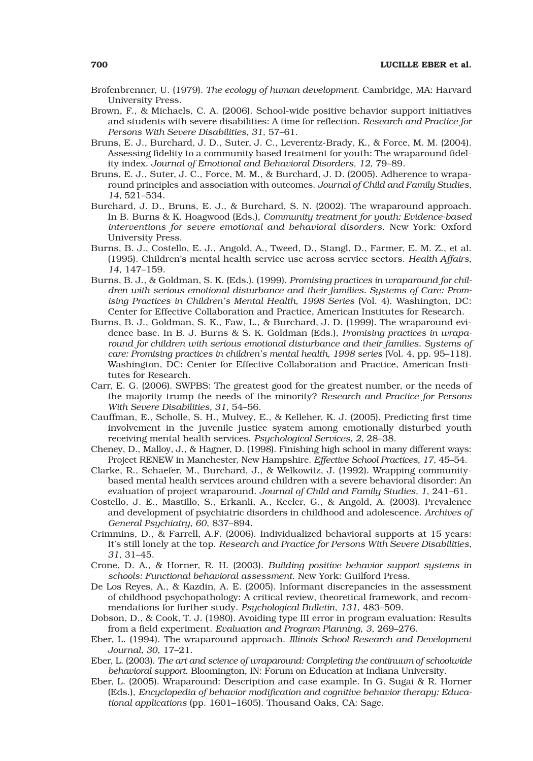- Brofenbrenner, U. (1979). *The ecology of human development*. Cambridge, MA: Harvard University Press.
- Brown, F., & Michaels, C. A. (2006). School-wide positive behavior support initiatives and students with severe disabilities: A time for reflection. *Research and Practice for Persons With Severe Disabilities, 31*, 57–61.
- Bruns, E. J., Burchard, J. D., Suter, J. C., Leverentz-Brady, K., & Force, M. M. (2004). Assessing fidelity to a community based treatment for youth: The wraparound fidelity index. *Journal of Emotional and Behavioral Disorders, 12*, 79–89.
- Bruns, E. J., Suter, J. C., Force, M. M., & Burchard, J. D. (2005). Adherence to wraparound principles and association with outcomes. *Journal of Child and Family Studies, 14,* 521–534.
- Burchard, J. D., Bruns, E. J., & Burchard, S. N. (2002). The wraparound approach. In B. Burns & K. Hoagwood (Eds.), *Community treatment for youth: Evidence-based interventions for severe emotional and behavioral disorders*. New York: Oxford University Press.
- Burns, B. J., Costello, E. J., Angold, A., Tweed, D., Stangl, D., Farmer, E. M. Z., et al. (1995). Children's mental health service use across service sectors. *Health Affairs, 14*, 147–159.
- Burns, B. J., & Goldman, S. K. (Eds.). (1999). *Promising practices in wraparound for children with serious emotional disturbance and their families. Systems of Care: Promising Practices in Children's Mental Health, 1998 Series* (Vol. 4). Washington, DC: Center for Effective Collaboration and Practice, American Institutes for Research.
- Burns, B. J., Goldman, S. K., Faw, L., & Burchard, J. D. (1999). The wraparound evidence base. In B. J. Burns & S. K. Goldman (Eds.), *Promising practices in wrapa*round for children with serious emotional disturbance and their families. Systems of *care: Promising practices in children's mental health, 1998 series* (Vol. 4, pp. 95–118). Washington, DC: Center for Effective Collaboration and Practice, American Institutes for Research.
- Carr, E. G. (2006). SWPBS: The greatest good for the greatest number, or the needs of the majority trump the needs of the minority? *Research and Practice for Persons With Severe Disabilities, 31*, 54–56.
- Cauffman, E., Scholle, S. H., Mulvey, E., & Kelleher, K. J. (2005). Predicting first time involvement in the juvenile justice system among emotionally disturbed youth receiving mental health services. *Psychological Services, 2*, 28–38.
- Cheney, D., Malloy, J., & Hagner, D. (1998). Finishing high school in many different ways: Project RENEW in Manchester, New Hampshire. *Effective School Practices, 17*, 45–54.
- Clarke, R., Schaefer, M., Burchard, J., & Welkowitz, J. (1992). Wrapping communitybased mental health services around children with a severe behavioral disorder: An evaluation of project wraparound. *Journal of Child and Family Studies, 1*, 241–61.
- Costello, J. E., Mastillo, S., Erkanli, A., Keeler, G., & Angold, A. (2003). Prevalence and development of psychiatric disorders in childhood and adolescence. *Archives of General Psychiatry, 60*, 837–894.
- Crimmins, D., & Farrell, A.F. (2006). Individualized behavioral supports at 15 years: It's still lonely at the top. *Research and Practice for Persons With Severe Disabilities, 31*, 31–45.
- Crone, D. A., & Horner, R. H. (2003). *Building positive behavior support systems in schools: Functional behavioral assessment*. New York: Guilford Press.
- De Los Reyes, A., & Kazdin, A. E. (2005). Informant discrepancies in the assessment of childhood psychopathology: A critical review, theoretical framework, and recommendations for further study. *Psychological Bulletin*, *131*, 483–509.
- Dobson, D., & Cook, T. J. (1980). Avoiding type III error in program evaluation: Results from a field experiment. *Evaluation and Program Planning*, *3*, 269–276.
- Eber, L. (1994). The wraparound approach. *Illinois School Research and Development Journal, 30*, 17–21.
- Eber, L. (2003). *The art and science of wraparound: Completing the continuum of schoolwide behavioral support*. Bloomington, IN: Forum on Education at Indiana University.
- Eber, L. (2005). Wraparound: Description and case example. In G. Sugai & R. Horner (Eds.), *Encyclopedia of behavior modification and cognitive behavior therapy: Educational applications* (pp. 1601–1605). Thousand Oaks, CA: Sage.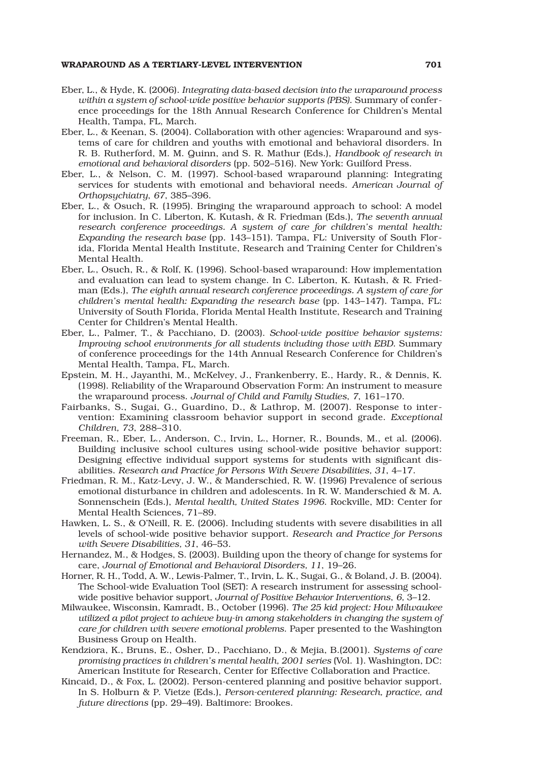- Eber, L., & Hyde, K. (2006). *Integrating data-based decision into the wraparound process within a system of school-wide positive behavior supports (PBS)*. Summary of conference proceedings for the 18th Annual Research Conference for Children's Mental Health, Tampa, FL, March.
- Eber, L., & Keenan, S. (2004). Collaboration with other agencies: Wraparound and systems of care for children and youths with emotional and behavioral disorders. In R. B. Rutherford, M. M. Quinn, and S. R. Mathur (Eds.), *Handbook of research in emotional and behavioral disorders* (pp. 502–516). New York: Guilford Press.
- Eber, L., & Nelson, C. M. (1997). School-based wraparound planning: Integrating services for students with emotional and behavioral needs. *American Journal of Orthopsychiatry*, *67*, 385–396.
- Eber, L., & Osuch, R. (1995). Bringing the wraparound approach to school: A model for inclusion. In C. Liberton, K. Kutash, & R. Friedman (Eds.), *The seventh annual research conference proceedings. A system of care for children's mental health: Expanding the research base* (pp. 143–151). Tampa, FL: University of South Florida, Florida Mental Health Institute, Research and Training Center for Children's Mental Health.
- Eber, L., Osuch, R., & Rolf, K. (1996). School-based wraparound: How implementation and evaluation can lead to system change. In C. Liberton, K. Kutash, & R. Friedman (Eds.), *The eighth annual research conference proceedings. A system of care for children's mental health: Expanding the research base* (pp. 143–147). Tampa, FL: University of South Florida, Florida Mental Health Institute, Research and Training Center for Children's Mental Health.
- Eber, L., Palmer, T., & Pacchiano, D. (2003). *School-wide positive behavior systems: Improving school environments for all students including those with EBD*. Summary of conference proceedings for the 14th Annual Research Conference for Children's Mental Health, Tampa, FL, March.
- Epstein, M. H., Jayanthi, M., McKelvey, J., Frankenberry, E., Hardy, R., & Dennis, K. (1998). Reliability of the Wraparound Observation Form: An instrument to measure the wraparound process. *Journal of Child and Family Studies*, *7*, 161–170.
- Fairbanks, S., Sugai, G., Guardino, D., & Lathrop, M. (2007). Response to intervention: Examining classroom behavior support in second grade. *Exceptional Children, 73*, 288–310.
- Freeman, R., Eber, L., Anderson, C., Irvin, L., Horner, R., Bounds, M., et al. (2006). Building inclusive school cultures using school-wide positive behavior support: Designing effective individual support systems for students with significant disabilities. *Research and Practice for Persons With Severe Disabilities, 31*, 4–17.
- Friedman, R. M., Katz-Levy, J. W., & Manderschied, R. W. (1996) Prevalence of serious emotional disturbance in children and adolescents. In R. W. Manderschied & M. A. Sonnenschein (Eds.), *Mental health, United States 1996*. Rockville, MD: Center for Mental Health Sciences, 71–89.
- Hawken, L. S., & O'Neill, R. E. (2006). Including students with severe disabilities in all levels of school-wide positive behavior support. *Research and Practice for Persons with Severe Disabilities, 31*, 46–53.
- Hernandez, M., & Hodges, S. (2003). Building upon the theory of change for systems for care, *Journal of Emotional and Behavioral Disorders, 11*, 19–26.
- Horner, R. H., Todd, A. W., Lewis-Palmer, T., Irvin, L. K., Sugai, G., & Boland, J. B. (2004). The School-wide Evaluation Tool (SET): A research instrument for assessing schoolwide positive behavior support, *Journal of Positive Behavior Interventions*, *6,* 3–12.
- Milwaukee, Wisconsin, Kamradt, B., October (1996). *The 25 kid project: How Milwaukee utilized a pilot project to achieve buy-in among stakeholders in changing the system of care for children with severe emotional problems*. Paper presented to the Washington Business Group on Health.
- Kendziora, K., Bruns, E., Osher, D., Pacchiano, D., & Mejia, B.(2001). *Systems of care promising practices in children's mental health, 2001 series* (Vol. 1). Washington, DC: American Institute for Research, Center for Effective Collaboration and Practice.
- Kincaid, D., & Fox, L. (2002). Person-centered planning and positive behavior support. In S. Holburn & P. Vietze (Eds.), *Person-centered planning: Research, practice, and future directions* (pp. 29–49). Baltimore: Brookes.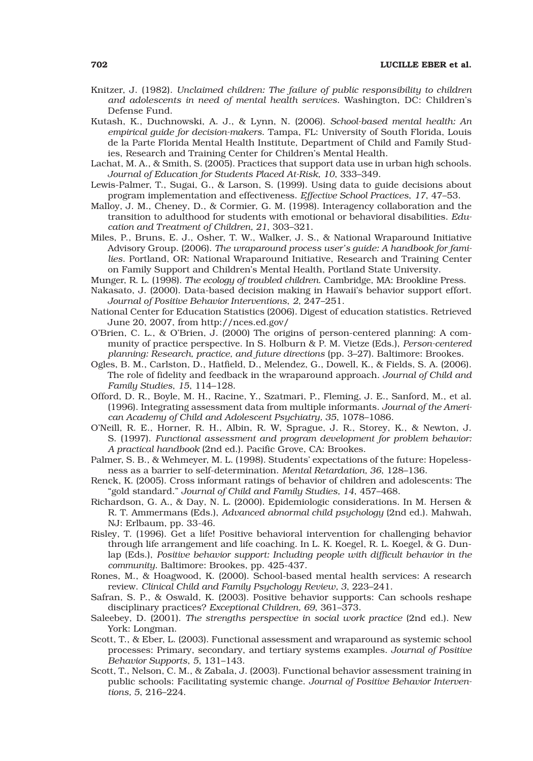#### **702 LUCILLE EBER et al.**

- Knitzer, J. (1982). *Unclaimed children: The failure of public responsibility to children and adolescents in need of mental health services*. Washington, DC: Children's Defense Fund.
- Kutash, K., Duchnowski, A. J., & Lynn, N. (2006). *School-based mental health: An empirical guide for decision-makers*. Tampa, FL: University of South Florida, Louis de la Parte Florida Mental Health Institute, Department of Child and Family Studies, Research and Training Center for Children's Mental Health.
- Lachat, M. A., & Smith, S. (2005). Practices that support data use in urban high schools. *Journal of Education for Students Placed At-Risk, 10*, 333–349.
- Lewis-Palmer, T., Sugai, G., & Larson, S. (1999). Using data to guide decisions about program implementation and effectiveness. *Effective School Practices*, *17*, 47–53.
- Malloy, J. M., Cheney, D., & Cormier, G. M. (1998). Interagency collaboration and the transition to adulthood for students with emotional or behavioral disabilities. *Education and Treatment of Children, 21*, 303–321.
- Miles, P., Bruns, E. J., Osher, T. W., Walker, J. S., & National Wraparound Initiative Advisory Group. (2006). *The wraparound process user's guide: A handbook for families*. Portland, OR: National Wraparound Initiative, Research and Training Center on Family Support and Children's Mental Health, Portland State University.
- Munger, R. L. (1998). *The ecology of troubled children*. Cambridge, MA: Brookline Press.
- Nakasato, J. (2000). Data-based decision making in Hawaii's behavior support effort. *Journal of Positive Behavior Interventions*, *2*, 247–251.
- National Center for Education Statistics (2006). Digest of education statistics. Retrieved June 20, 2007, from http://nces.ed.gov/
- O'Brien, C. L., & O'Brien, J. (2000) The origins of person-centered planning: A community of practice perspective. In S. Holburn & P. M. Vietze (Eds.), *Person-centered planning: Research, practice, and future directions* (pp. 3–27). Baltimore: Brookes.
- Ogles, B. M., Carlston, D., Hatfield, D., Melendez, G., Dowell, K., & Fields, S. A. (2006). The role of fidelity and feedback in the wraparound approach. *Journal of Child and Family Studies*, *15*, 114–128.
- Offord, D. R., Boyle, M. H., Racine, Y., Szatmari, P., Fleming, J. E., Sanford, M., et al. (1996). Integrating assessment data from multiple informants. *Journal of the American Academy of Child and Adolescent Psychiatry, 35*, 1078–1086.
- O'Neill, R. E., Horner, R. H., Albin, R. W, Sprague, J. R., Storey, K., & Newton, J. S. (1997). *Functional assessment and program development for problem behavior: A practical handbook* (2nd ed.). Pacific Grove, CA: Brookes.
- Palmer, S. B., & Wehmeyer, M. L. (1998). Students' expectations of the future: Hopelessness as a barrier to self-determination. *Mental Retardation, 36*, 128–136.
- Renck, K. (2005). Cross informant ratings of behavior of children and adolescents: The "gold standard." *Journal of Child and Family Studies, 14*, 457–468.
- Richardson, G. A., & Day, N. L. (2000). Epidemiologic considerations. In M. Hersen & R. T. Ammermans (Eds.), *Advanced abnormal child psychology* (2nd ed.). Mahwah, NJ: Erlbaum, pp. 33-46.
- Risley, T. (1996). Get a life! Positive behavioral intervention for challenging behavior through life arrangement and life coaching. In L. K. Koegel, R. L. Koegel, & G. Dunlap (Eds.), *Positive behavior support: Including people with difficult behavior in the community*. Baltimore: Brookes, pp. 425-437.
- Rones, M., & Hoagwood, K. (2000). School-based mental health services: A research review. *Clinical Child and Family Psychology Review, 3*, 223–241.
- Safran, S. P., & Oswald, K. (2003). Positive behavior supports: Can schools reshape disciplinary practices? *Exceptional Children, 69*, 361–373.
- Saleebey, D. (2001). *The strengths perspective in social work practice* (2nd ed.). New York: Longman.
- Scott, T., & Eber, L. (2003). Functional assessment and wraparound as systemic school processes: Primary, secondary, and tertiary systems examples. *Journal of Positive Behavior Supports*, *5*, 131–143.
- Scott, T., Nelson, C. M., & Zabala, J. (2003). Functional behavior assessment training in public schools: Facilitating systemic change. *Journal of Positive Behavior Interventions, 5*, 216–224.